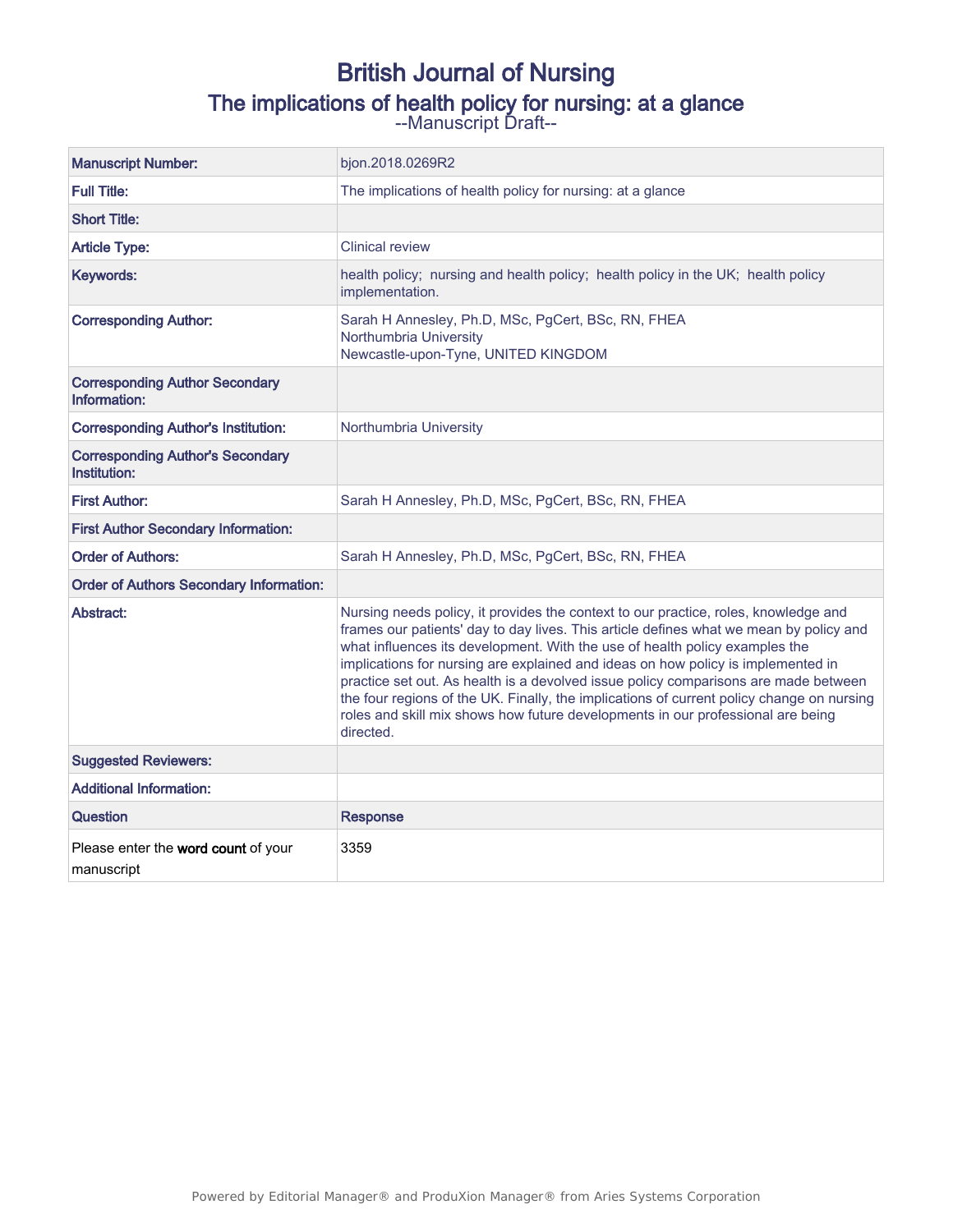# British Journal of Nursing The implications of health policy for nursing: at a glance

--Manuscript Draft--

| <b>Manuscript Number:</b>                               | bjon.2018.0269R2                                                                                                                                                                                                                                                                                                                                                                                                                                                                                                                                                                                                                     |
|---------------------------------------------------------|--------------------------------------------------------------------------------------------------------------------------------------------------------------------------------------------------------------------------------------------------------------------------------------------------------------------------------------------------------------------------------------------------------------------------------------------------------------------------------------------------------------------------------------------------------------------------------------------------------------------------------------|
| <b>Full Title:</b>                                      | The implications of health policy for nursing: at a glance                                                                                                                                                                                                                                                                                                                                                                                                                                                                                                                                                                           |
| <b>Short Title:</b>                                     |                                                                                                                                                                                                                                                                                                                                                                                                                                                                                                                                                                                                                                      |
| <b>Article Type:</b>                                    | <b>Clinical review</b>                                                                                                                                                                                                                                                                                                                                                                                                                                                                                                                                                                                                               |
| Keywords:                                               | health policy; nursing and health policy; health policy in the UK; health policy<br>implementation.                                                                                                                                                                                                                                                                                                                                                                                                                                                                                                                                  |
| <b>Corresponding Author:</b>                            | Sarah H Annesley, Ph.D, MSc, PgCert, BSc, RN, FHEA<br>Northumbria University<br>Newcastle-upon-Tyne, UNITED KINGDOM                                                                                                                                                                                                                                                                                                                                                                                                                                                                                                                  |
| <b>Corresponding Author Secondary</b><br>Information:   |                                                                                                                                                                                                                                                                                                                                                                                                                                                                                                                                                                                                                                      |
| <b>Corresponding Author's Institution:</b>              | Northumbria University                                                                                                                                                                                                                                                                                                                                                                                                                                                                                                                                                                                                               |
| <b>Corresponding Author's Secondary</b><br>Institution: |                                                                                                                                                                                                                                                                                                                                                                                                                                                                                                                                                                                                                                      |
| <b>First Author:</b>                                    | Sarah H Annesley, Ph.D, MSc, PgCert, BSc, RN, FHEA                                                                                                                                                                                                                                                                                                                                                                                                                                                                                                                                                                                   |
| <b>First Author Secondary Information:</b>              |                                                                                                                                                                                                                                                                                                                                                                                                                                                                                                                                                                                                                                      |
| <b>Order of Authors:</b>                                | Sarah H Annesley, Ph.D, MSc, PgCert, BSc, RN, FHEA                                                                                                                                                                                                                                                                                                                                                                                                                                                                                                                                                                                   |
| <b>Order of Authors Secondary Information:</b>          |                                                                                                                                                                                                                                                                                                                                                                                                                                                                                                                                                                                                                                      |
| Abstract:                                               | Nursing needs policy, it provides the context to our practice, roles, knowledge and<br>frames our patients' day to day lives. This article defines what we mean by policy and<br>what influences its development. With the use of health policy examples the<br>implications for nursing are explained and ideas on how policy is implemented in<br>practice set out. As health is a devolved issue policy comparisons are made between<br>the four regions of the UK. Finally, the implications of current policy change on nursing<br>roles and skill mix shows how future developments in our professional are being<br>directed. |
| <b>Suggested Reviewers:</b>                             |                                                                                                                                                                                                                                                                                                                                                                                                                                                                                                                                                                                                                                      |
| <b>Additional Information:</b>                          |                                                                                                                                                                                                                                                                                                                                                                                                                                                                                                                                                                                                                                      |
| Question                                                | <b>Response</b>                                                                                                                                                                                                                                                                                                                                                                                                                                                                                                                                                                                                                      |
| Please enter the word count of your<br>manuscript       | 3359                                                                                                                                                                                                                                                                                                                                                                                                                                                                                                                                                                                                                                 |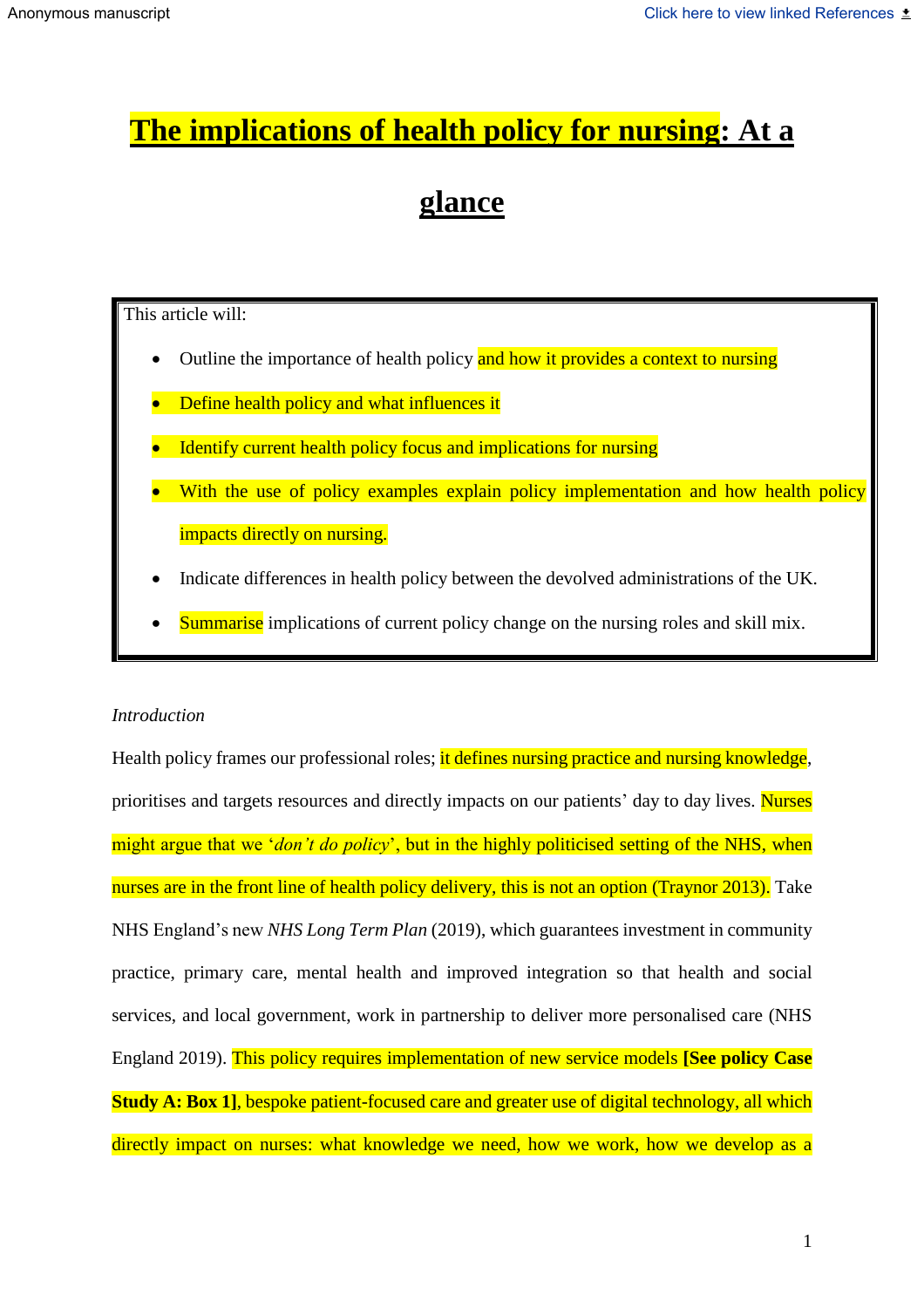# **The implications of health policy for nursing: At a**

# **glance**

This article will:

- Outline the importance of health policy and how it provides a context to nursing
- Define health policy and what influences it
- Identify current health policy focus and implications for nursing
- With the use of policy examples explain policy implementation and how health policy impacts directly on nursing.
- Indicate differences in health policy between the devolved administrations of the UK.
- Summarise implications of current policy change on the nursing roles and skill mix.

#### *Introduction*

Health policy frames our professional roles; it defines nursing practice and nursing knowledge, prioritises and targets resources and directly impacts on our patients' day to day lives. Nurses might argue that we '*don't do policy*', but in the highly politicised setting of the NHS, when nurses are in the front line of health policy delivery, this is not an option (Traynor 2013). Take NHS England's new *NHS Long Term Plan* (2019), which guarantees investment in community practice, primary care, mental health and improved integration so that health and social services, and local government, work in partnership to deliver more personalised care (NHS England 2019). This policy requires implementation of new service models **[See policy Case Study A: Box 1], bespoke patient-focused care and greater use of digital technology, all which** directly impact on nurses: what knowledge we need, how we work, how we develop as a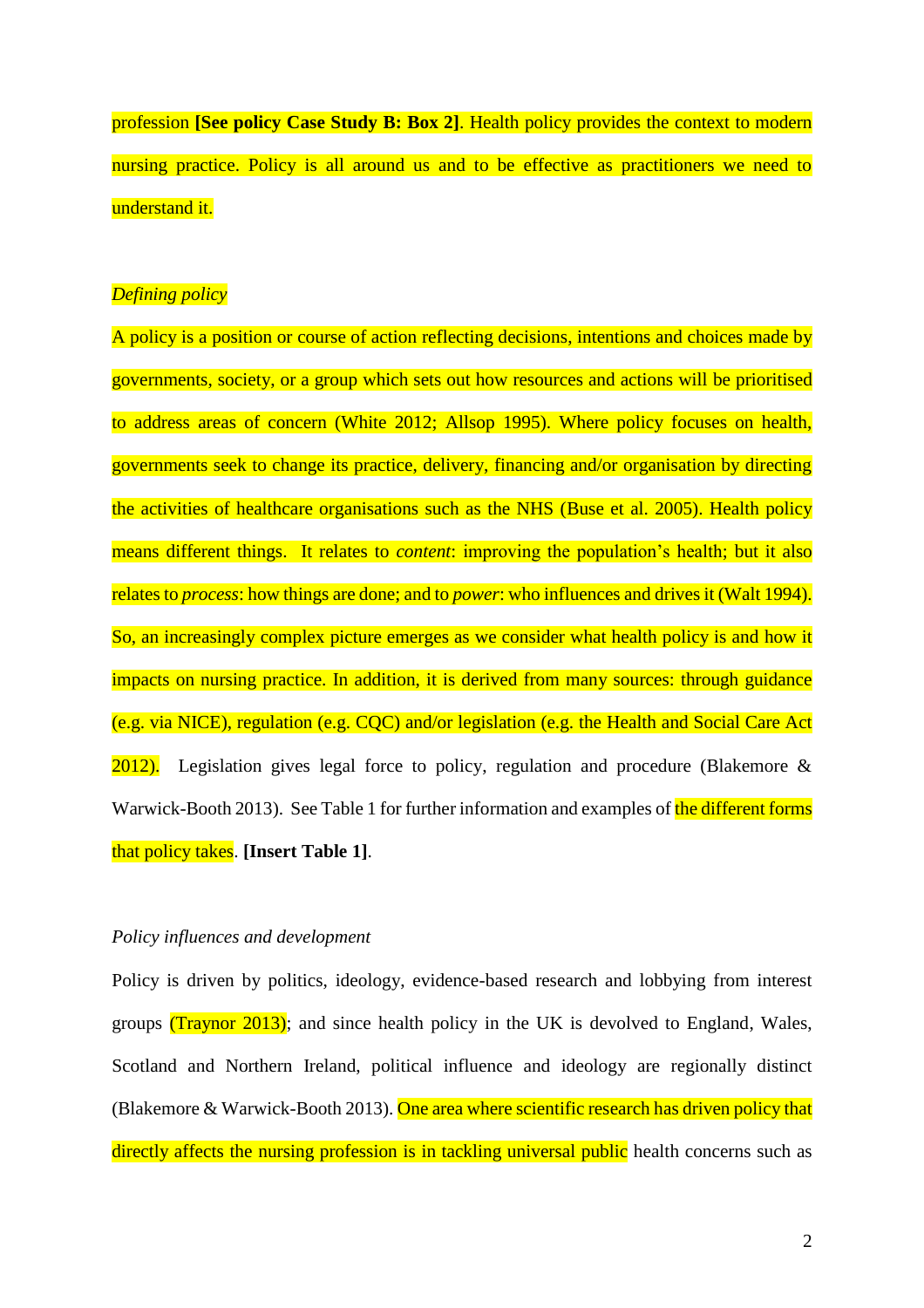profession **[See policy Case Study B: Box 2]**. Health policy provides the context to modern nursing practice. Policy is all around us and to be effective as practitioners we need to understand it.

#### *Defining policy*

A policy is a position or course of action reflecting decisions, intentions and choices made by governments, society, or a group which sets out how resources and actions will be prioritised to address areas of concern (White 2012; Allsop 1995). Where policy focuses on health, governments seek to change its practice, delivery, financing and/or organisation by directing the activities of healthcare organisations such as the NHS (Buse et al. 2005). Health policy means different things. It relates to *content*: improving the population's health; but it also relates to *process*: how things are done; and to *power*: who influences and drives it (Walt 1994). So, an increasingly complex picture emerges as we consider what health policy is and how it impacts on nursing practice. In addition, it is derived from many sources: through guidance (e.g. via NICE), regulation (e.g. CQC) and/or legislation (e.g. the Health and Social Care Act 2012). Legislation gives legal force to policy, regulation and procedure (Blakemore & Warwick-Booth 2013). See Table 1 for further information and examples of the different forms that policy takes. **[Insert Table 1]**.

#### *Policy influences and development*

Policy is driven by politics, ideology, evidence-based research and lobbying from interest groups (Traynor 2013); and since health policy in the UK is devolved to England, Wales, Scotland and Northern Ireland, political influence and ideology are regionally distinct (Blakemore & Warwick-Booth 2013). One area where scientific research has driven policy that directly affects the nursing profession is in tackling universal public health concerns such as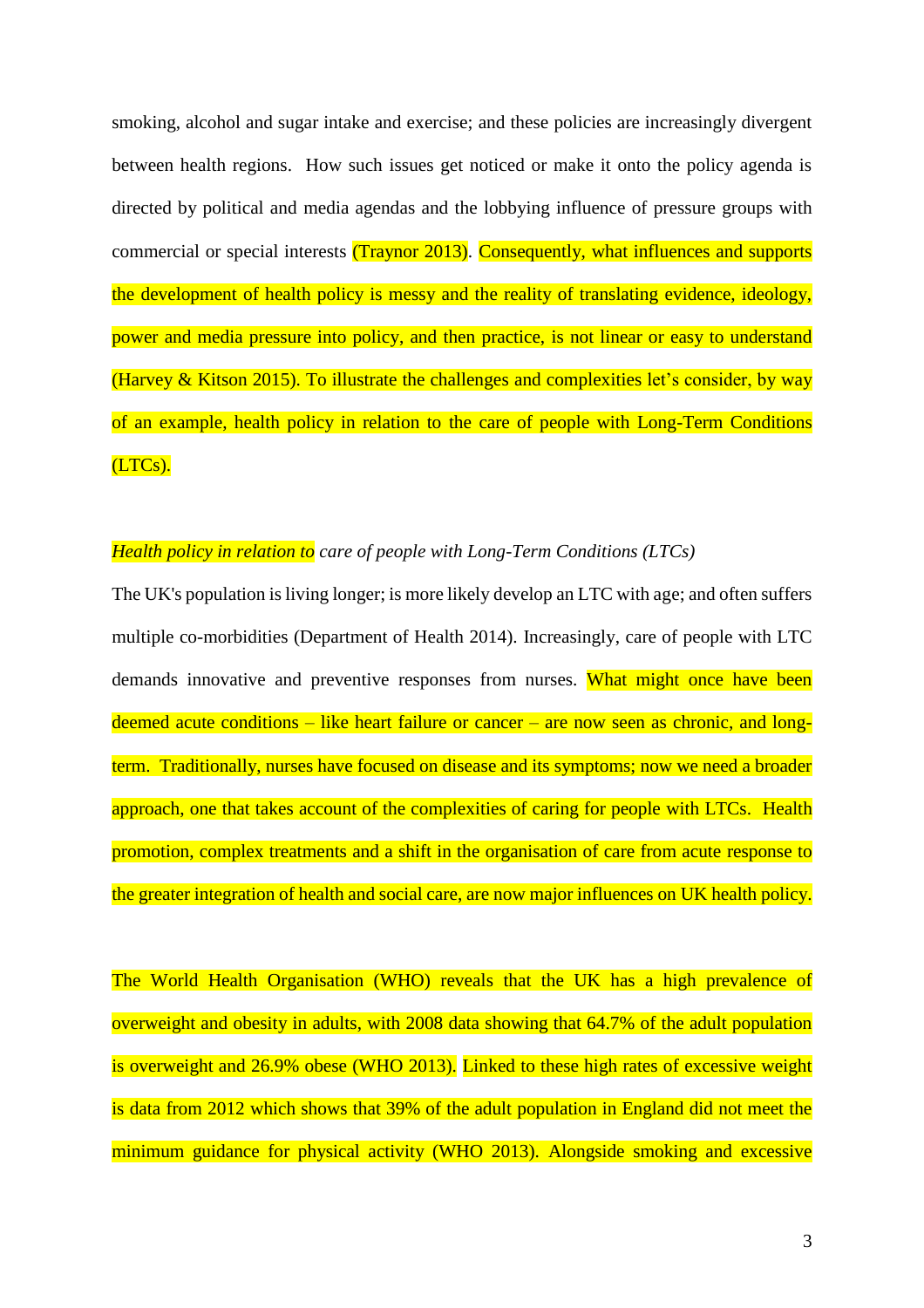smoking, alcohol and sugar intake and exercise; and these policies are increasingly divergent between health regions. How such issues get noticed or make it onto the policy agenda is directed by political and media agendas and the lobbying influence of pressure groups with commercial or special interests (Traynor 2013). Consequently, what influences and supports the development of health policy is messy and the reality of translating evidence, ideology, power and media pressure into policy, and then practice, is not linear or easy to understand (Harvey  $&$  Kitson 2015). To illustrate the challenges and complexities let's consider, by way of an example, health policy in relation to the care of people with Long-Term Conditions (LTCs).

### *Health policy in relation to care of people with Long-Term Conditions (LTCs)*

The UK's population is living longer; is more likely develop an LTC with age; and often suffers multiple co-morbidities (Department of Health 2014). Increasingly, care of people with LTC demands innovative and preventive responses from nurses. What might once have been deemed acute conditions – like heart failure or cancer – are now seen as chronic, and longterm. Traditionally, nurses have focused on disease and its symptoms; now we need a broader approach, one that takes account of the complexities of caring for people with LTCs. Health promotion, complex treatments and a shift in the organisation of care from acute response to the greater integration of health and social care, are now major influences on UK health policy.

The World Health Organisation (WHO) reveals that the UK has a high prevalence of overweight and obesity in adults, with 2008 data showing that 64.7% of the adult population is overweight and 26.9% obese (WHO 2013). Linked to these high rates of excessive weight is data from 2012 which shows that 39% of the adult population in England did not meet the minimum guidance for physical activity (WHO 2013). Alongside smoking and excessive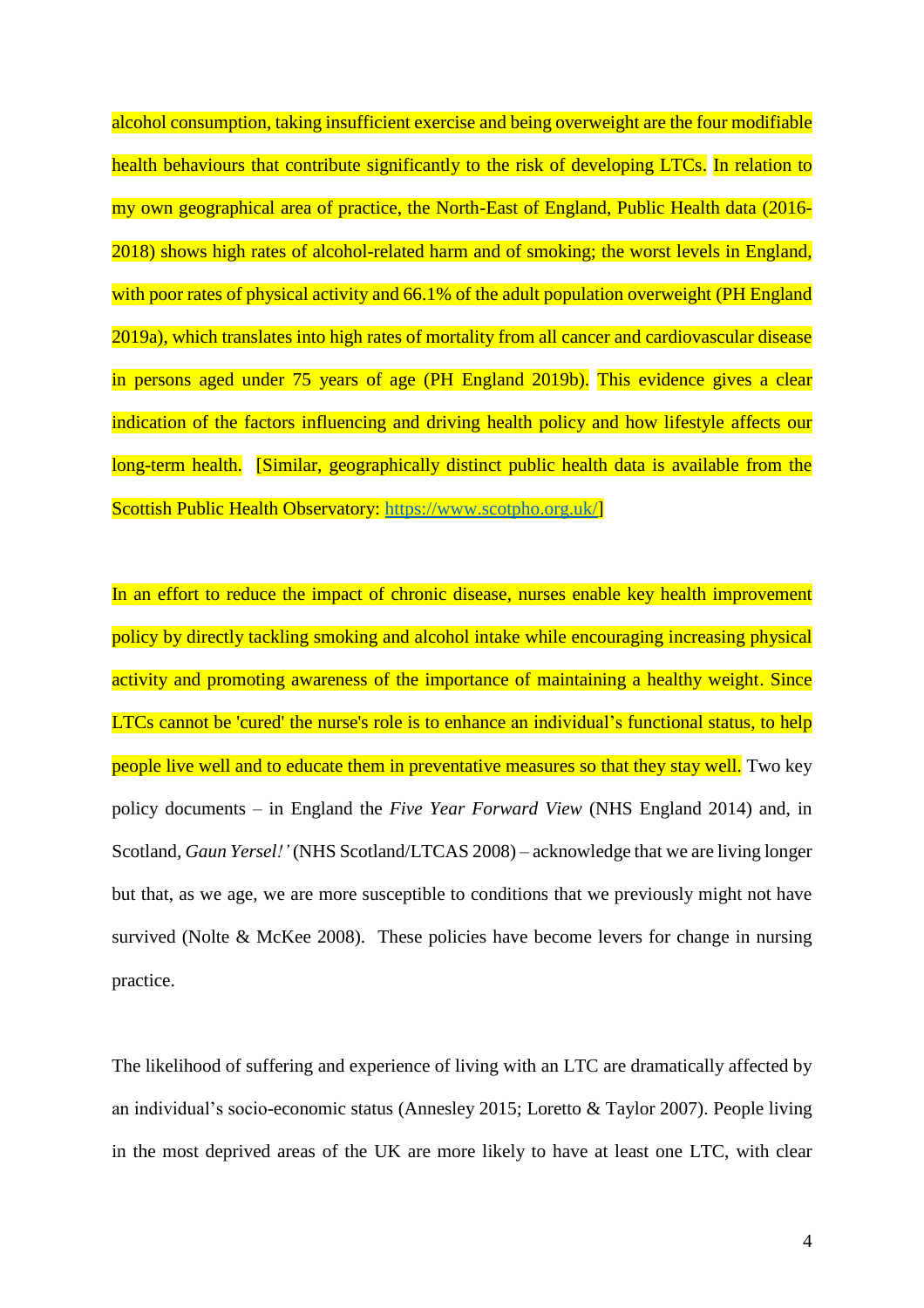alcohol consumption, taking insufficient exercise and being overweight are the four modifiable health behaviours that contribute significantly to the risk of developing LTCs. In relation to my own geographical area of practice, the North-East of England, Public Health data (2016- 2018) shows high rates of alcohol-related harm and of smoking; the worst levels in England, with poor rates of physical activity and 66.1% of the adult population overweight (PH England 2019a), which translates into high rates of mortality from all cancer and cardiovascular disease in persons aged under 75 years of age (PH England 2019b). This evidence gives a clear indication of the factors influencing and driving health policy and how lifestyle affects our long-term health. [Similar, geographically distinct public health data is available from the Scottish Public Health Observatory: [https://www.scotpho.org.uk/\]](https://www.scotpho.org.uk/)

In an effort to reduce the impact of chronic disease, nurses enable key health improvement policy by directly tackling smoking and alcohol intake while encouraging increasing physical activity and promoting awareness of the importance of maintaining a healthy weight. Since LTCs cannot be 'cured' the nurse's role is to enhance an individual's functional status, to help people live well and to educate them in preventative measures so that they stay well. Two key policy documents – in England the *Five Year Forward View* (NHS England 2014) and, in Scotland, *Gaun Yersel!'* (NHS Scotland/LTCAS 2008) – acknowledge that we are living longer but that, as we age, we are more susceptible to conditions that we previously might not have survived (Nolte & McKee 2008). These policies have become levers for change in nursing practice.

The likelihood of suffering and experience of living with an LTC are dramatically affected by an individual's socio-economic status (Annesley 2015; Loretto & Taylor 2007). People living in the most deprived areas of the UK are more likely to have at least one LTC, with clear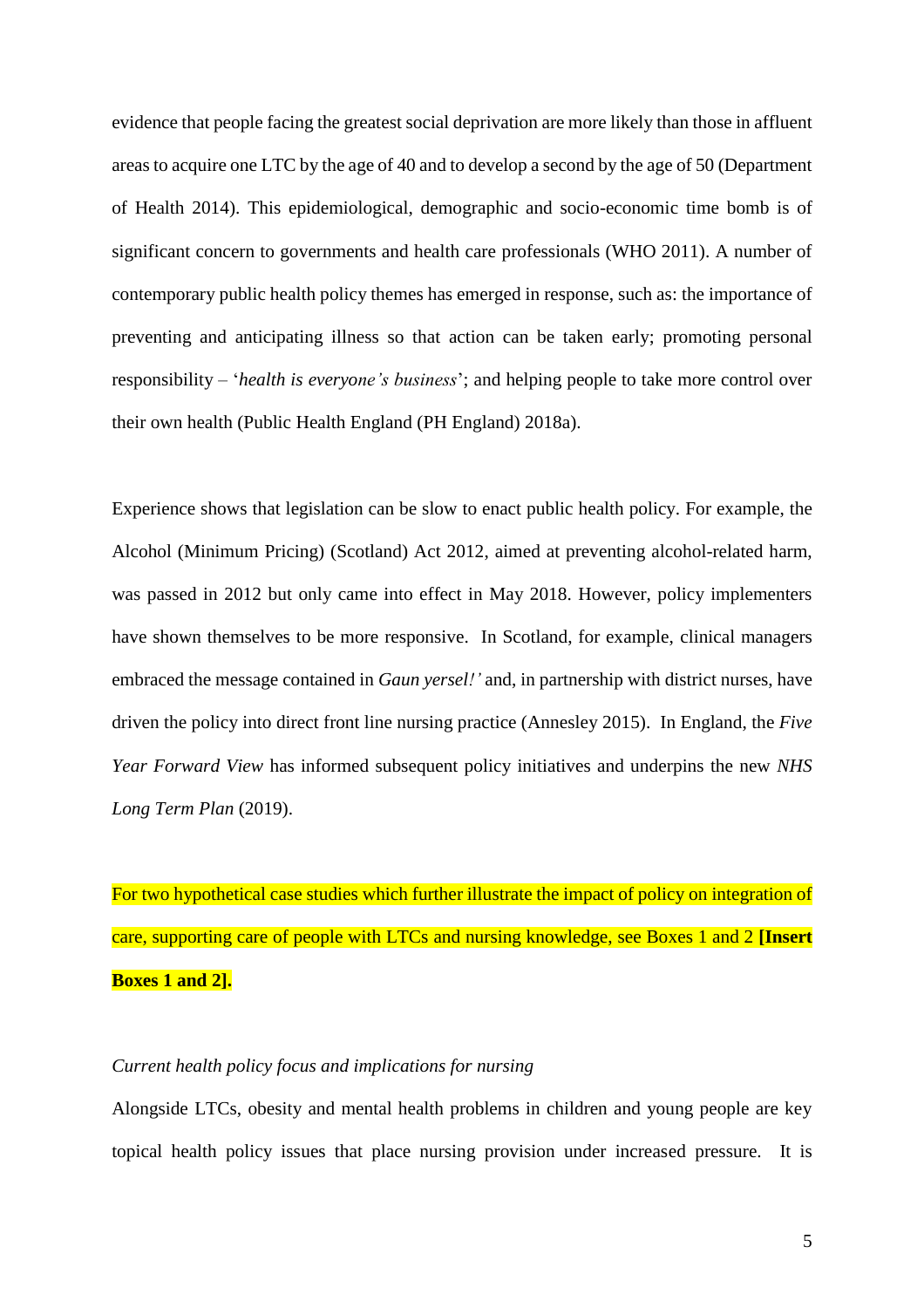evidence that people facing the greatest social deprivation are more likely than those in affluent areas to acquire one LTC by the age of 40 and to develop a second by the age of 50 (Department of Health 2014). This epidemiological, demographic and socio-economic time bomb is of significant concern to governments and health care professionals (WHO 2011). A number of contemporary public health policy themes has emerged in response, such as: the importance of preventing and anticipating illness so that action can be taken early; promoting personal responsibility – '*health is everyone's business*'; and helping people to take more control over their own health (Public Health England (PH England) 2018a).

Experience shows that legislation can be slow to enact public health policy. For example, the Alcohol (Minimum Pricing) (Scotland) Act 2012, aimed at preventing alcohol-related harm, was passed in 2012 but only came into effect in May 2018. However, policy implementers have shown themselves to be more responsive. In Scotland, for example, clinical managers embraced the message contained in *Gaun yersel!'* and, in partnership with district nurses, have driven the policy into direct front line nursing practice (Annesley 2015). In England, the *Five Year Forward View* has informed subsequent policy initiatives and underpins the new *NHS Long Term Plan* (2019).

For two hypothetical case studies which further illustrate the impact of policy on integration of care, supporting care of people with LTCs and nursing knowledge, see Boxes 1 and 2 **[Insert Boxes 1 and 2].**

#### *Current health policy focus and implications for nursing*

Alongside LTCs, obesity and mental health problems in children and young people are key topical health policy issues that place nursing provision under increased pressure. It is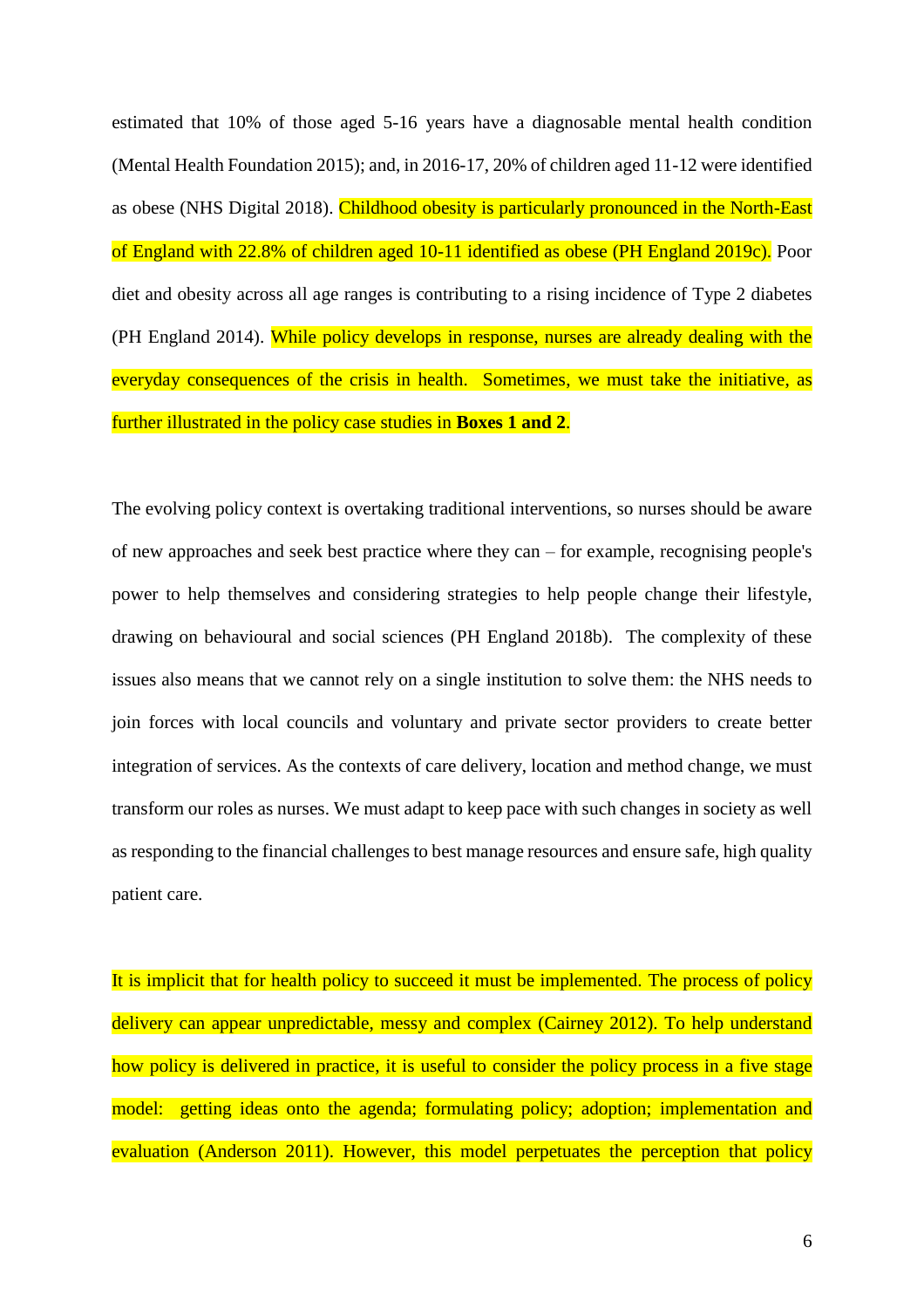estimated that 10% of those aged 5-16 years have a diagnosable mental health condition (Mental Health Foundation 2015); and, in 2016-17, 20% of children aged 11-12 were identified as obese (NHS Digital 2018). Childhood obesity is particularly pronounced in the North-East of England with 22.8% of children aged 10-11 identified as obese (PH England 2019c). Poor diet and obesity across all age ranges is contributing to a rising incidence of Type 2 diabetes (PH England 2014). While policy develops in response, nurses are already dealing with the everyday consequences of the crisis in health. Sometimes, we must take the initiative, as further illustrated in the policy case studies in **Boxes 1 and 2**.

The evolving policy context is overtaking traditional interventions, so nurses should be aware of new approaches and seek best practice where they can – for example, recognising people's power to help themselves and considering strategies to help people change their lifestyle, drawing on behavioural and social sciences (PH England 2018b). The complexity of these issues also means that we cannot rely on a single institution to solve them: the NHS needs to join forces with local councils and voluntary and private sector providers to create better integration of services. As the contexts of care delivery, location and method change, we must transform our roles as nurses. We must adapt to keep pace with such changes in society as well as responding to the financial challenges to best manage resources and ensure safe, high quality patient care.

It is implicit that for health policy to succeed it must be implemented. The process of policy delivery can appear unpredictable, messy and complex (Cairney 2012). To help understand how policy is delivered in practice, it is useful to consider the policy process in a five stage model: getting ideas onto the agenda; formulating policy; adoption; implementation and evaluation (Anderson 2011). However, this model perpetuates the perception that policy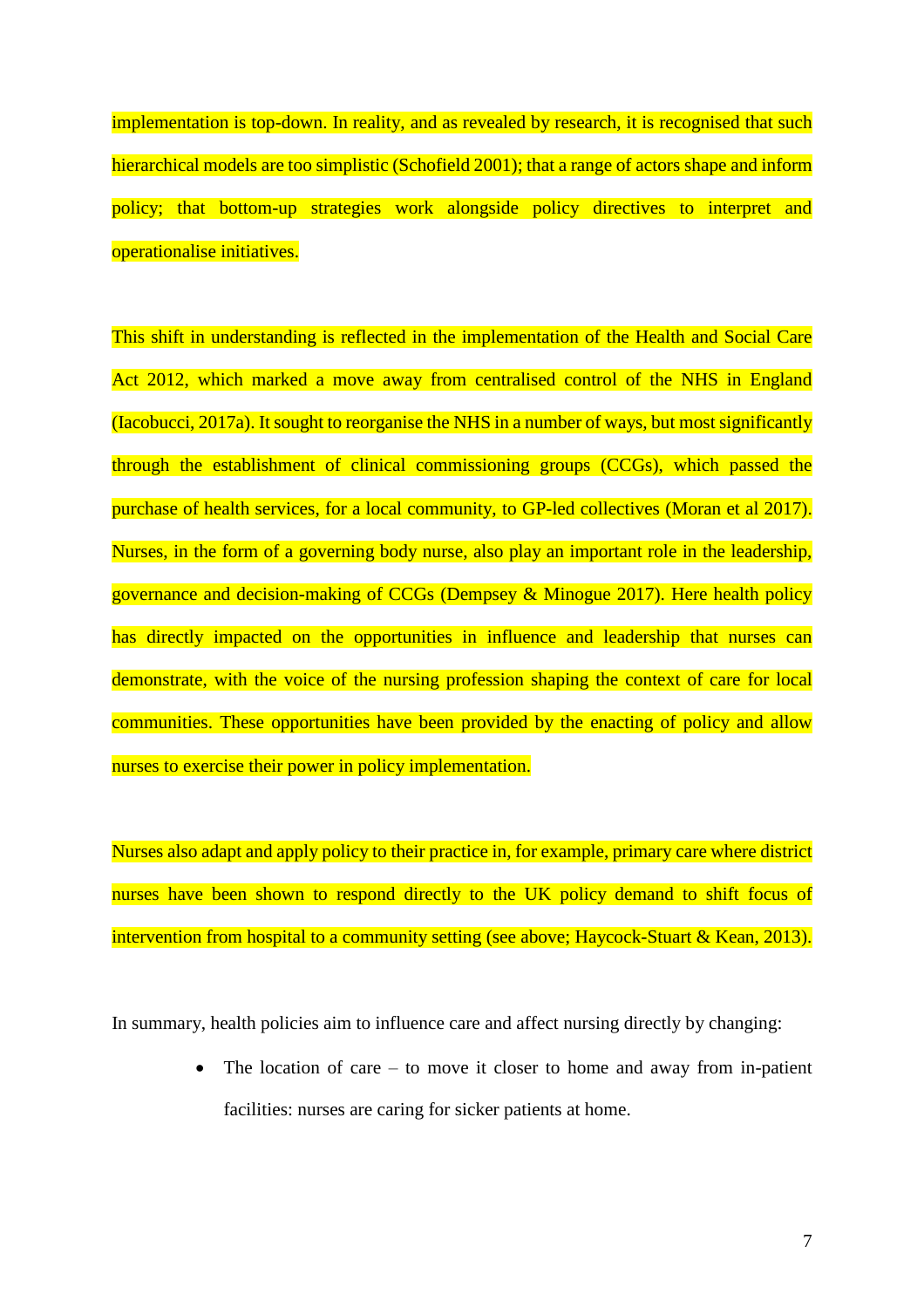implementation is top-down. In reality, and as revealed by research, it is recognised that such hierarchical models are too simplistic (Schofield 2001); that a range of actors shape and inform policy; that bottom-up strategies work alongside policy directives to interpret and operationalise initiatives.

This shift in understanding is reflected in the implementation of the Health and Social Care Act 2012, which marked a move away from centralised control of the NHS in England (Iacobucci, 2017a). It sought to reorganise the NHS in a number of ways, but most significantly through the establishment of clinical commissioning groups (CCGs), which passed the purchase of health services, for a local community, to GP-led collectives (Moran et al 2017). Nurses, in the form of a governing body nurse, also play an important role in the leadership, governance and decision-making of CCGs (Dempsey & Minogue 2017). Here health policy has directly impacted on the opportunities in influence and leadership that nurses can demonstrate, with the voice of the nursing profession shaping the context of care for local communities. These opportunities have been provided by the enacting of policy and allow nurses to exercise their power in policy implementation.

Nurses also adapt and apply policy to their practice in, for example, primary care where district nurses have been shown to respond directly to the UK policy demand to shift focus of intervention from hospital to a community setting (see above; Haycock-Stuart & Kean, 2013).

In summary, health policies aim to influence care and affect nursing directly by changing:

 The location of care – to move it closer to home and away from in-patient facilities: nurses are caring for sicker patients at home.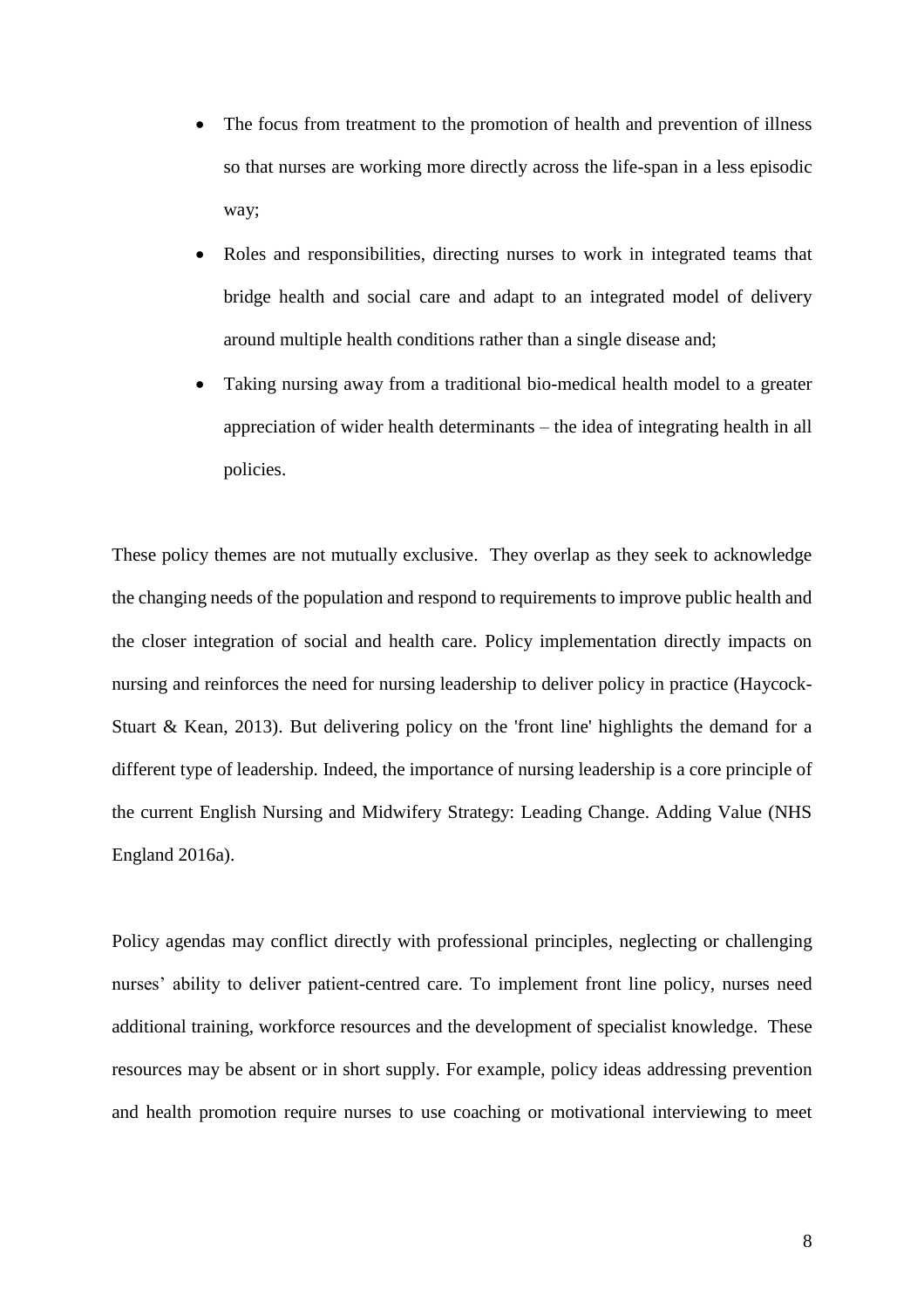- The focus from treatment to the promotion of health and prevention of illness so that nurses are working more directly across the life-span in a less episodic way;
- Roles and responsibilities, directing nurses to work in integrated teams that bridge health and social care and adapt to an integrated model of delivery around multiple health conditions rather than a single disease and;
- Taking nursing away from a traditional bio-medical health model to a greater appreciation of wider health determinants – the idea of integrating health in all policies.

These policy themes are not mutually exclusive. They overlap as they seek to acknowledge the changing needs of the population and respond to requirements to improve public health and the closer integration of social and health care. Policy implementation directly impacts on nursing and reinforces the need for nursing leadership to deliver policy in practice (Haycock-Stuart & Kean, 2013). But delivering policy on the 'front line' highlights the demand for a different type of leadership. Indeed, the importance of nursing leadership is a core principle of the current English Nursing and Midwifery Strategy: Leading Change. Adding Value (NHS England 2016a).

Policy agendas may conflict directly with professional principles, neglecting or challenging nurses' ability to deliver patient-centred care. To implement front line policy, nurses need additional training, workforce resources and the development of specialist knowledge. These resources may be absent or in short supply. For example, policy ideas addressing prevention and health promotion require nurses to use coaching or motivational interviewing to meet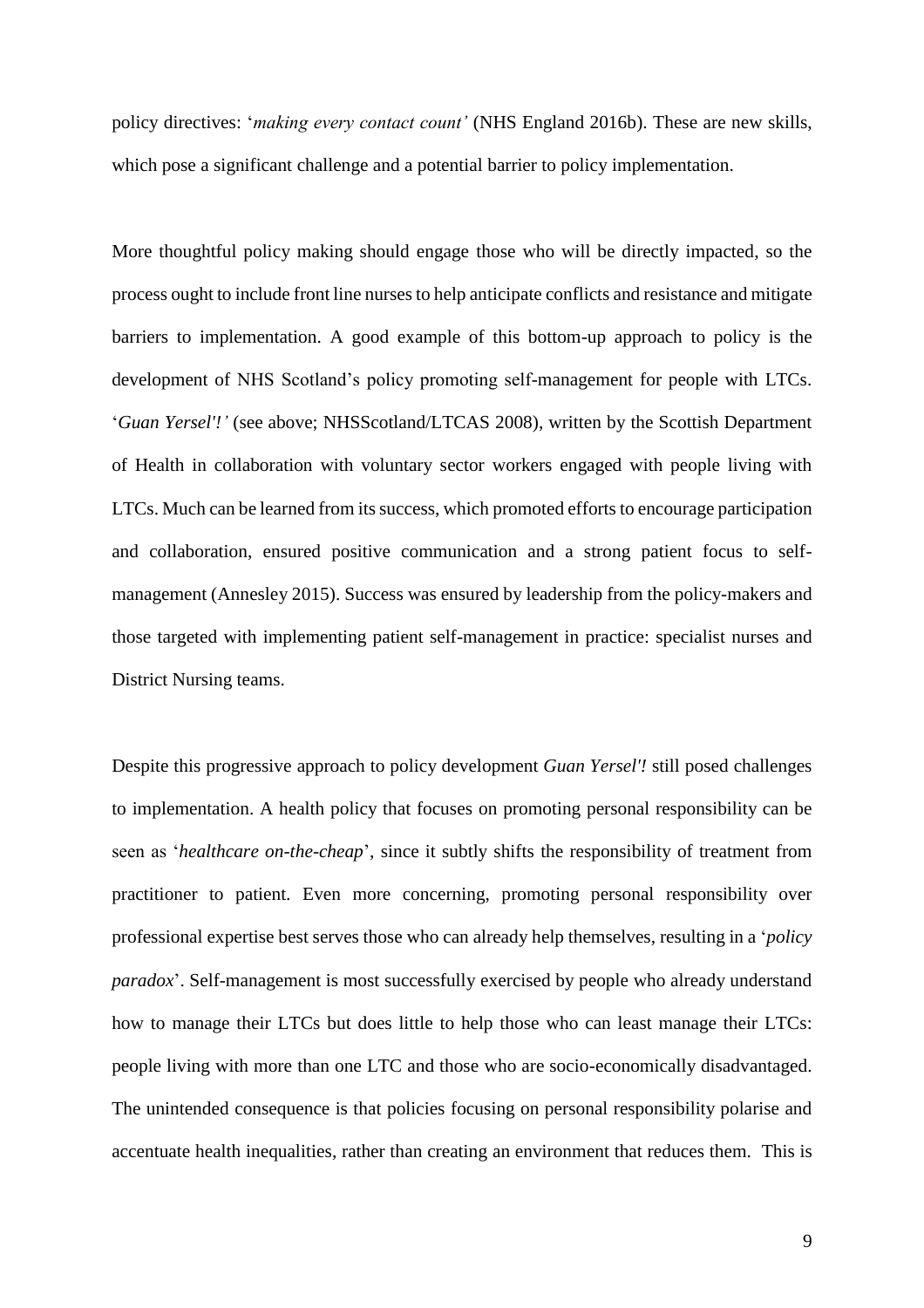policy directives: '*making every contact count'* (NHS England 2016b). These are new skills, which pose a significant challenge and a potential barrier to policy implementation.

More thoughtful policy making should engage those who will be directly impacted, so the process ought to include front line nurses to help anticipate conflicts and resistance and mitigate barriers to implementation. A good example of this bottom-up approach to policy is the development of NHS Scotland's policy promoting self-management for people with LTCs. '*Guan Yersel'!'* (see above; NHSScotland/LTCAS 2008), written by the Scottish Department of Health in collaboration with voluntary sector workers engaged with people living with LTCs. Much can be learned from its success, which promoted efforts to encourage participation and collaboration, ensured positive communication and a strong patient focus to selfmanagement (Annesley 2015). Success was ensured by leadership from the policy-makers and those targeted with implementing patient self-management in practice: specialist nurses and District Nursing teams.

Despite this progressive approach to policy development *Guan Yersel'!* still posed challenges to implementation. A health policy that focuses on promoting personal responsibility can be seen as '*healthcare on-the-cheap*', since it subtly shifts the responsibility of treatment from practitioner to patient. Even more concerning, promoting personal responsibility over professional expertise best serves those who can already help themselves, resulting in a '*policy paradox*'. Self-management is most successfully exercised by people who already understand how to manage their LTCs but does little to help those who can least manage their LTCs: people living with more than one LTC and those who are socio-economically disadvantaged. The unintended consequence is that policies focusing on personal responsibility polarise and accentuate health inequalities, rather than creating an environment that reduces them. This is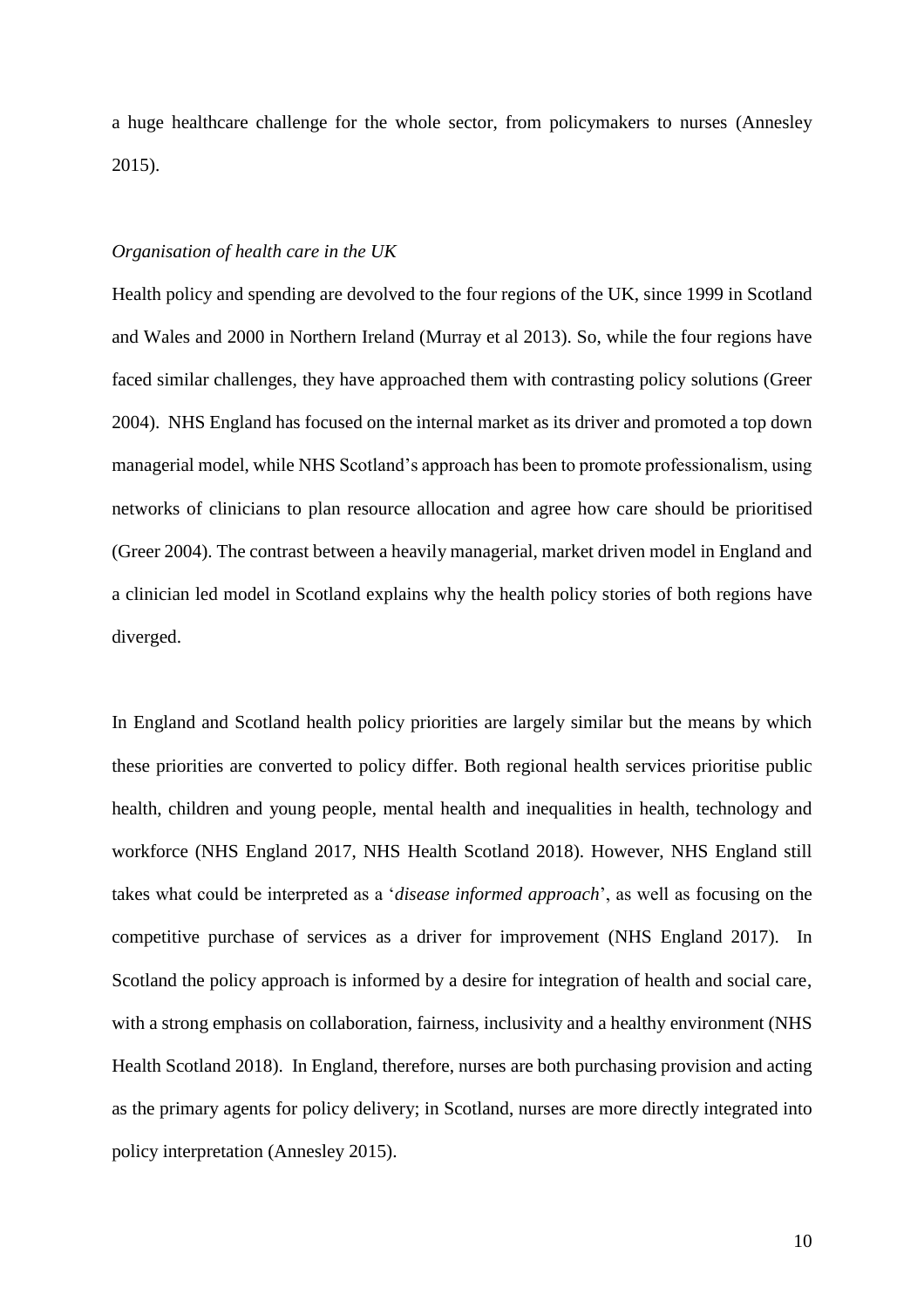a huge healthcare challenge for the whole sector, from policymakers to nurses (Annesley 2015).

#### *Organisation of health care in the UK*

Health policy and spending are devolved to the four regions of the UK, since 1999 in Scotland and Wales and 2000 in Northern Ireland (Murray et al 2013). So, while the four regions have faced similar challenges, they have approached them with contrasting policy solutions (Greer 2004). NHS England has focused on the internal market as its driver and promoted a top down managerial model, while NHS Scotland's approach has been to promote professionalism, using networks of clinicians to plan resource allocation and agree how care should be prioritised (Greer 2004). The contrast between a heavily managerial, market driven model in England and a clinician led model in Scotland explains why the health policy stories of both regions have diverged.

In England and Scotland health policy priorities are largely similar but the means by which these priorities are converted to policy differ. Both regional health services prioritise public health, children and young people, mental health and inequalities in health, technology and workforce (NHS England 2017, NHS Health Scotland 2018). However, NHS England still takes what could be interpreted as a '*disease informed approach*', as well as focusing on the competitive purchase of services as a driver for improvement (NHS England 2017). In Scotland the policy approach is informed by a desire for integration of health and social care, with a strong emphasis on collaboration, fairness, inclusivity and a healthy environment (NHS Health Scotland 2018). In England, therefore, nurses are both purchasing provision and acting as the primary agents for policy delivery; in Scotland, nurses are more directly integrated into policy interpretation (Annesley 2015).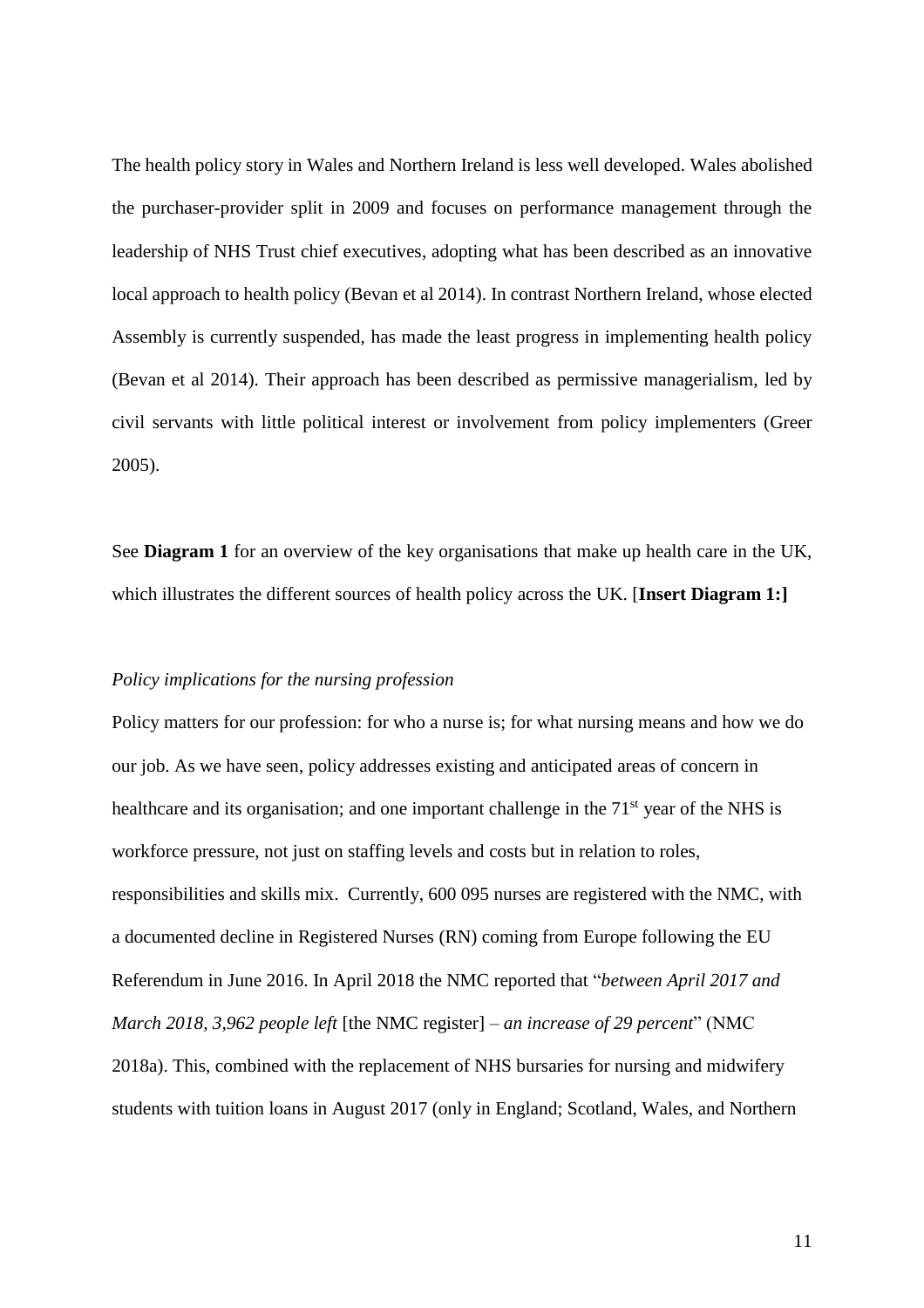The health policy story in Wales and Northern Ireland is less well developed. Wales abolished the purchaser-provider split in 2009 and focuses on performance management through the leadership of NHS Trust chief executives, adopting what has been described as an innovative local approach to health policy (Bevan et al 2014). In contrast Northern Ireland, whose elected Assembly is currently suspended, has made the least progress in implementing health policy (Bevan et al 2014). Their approach has been described as permissive managerialism, led by civil servants with little political interest or involvement from policy implementers (Greer 2005).

See **Diagram 1** for an overview of the key organisations that make up health care in the UK, which illustrates the different sources of health policy across the UK. [**Insert Diagram 1:]**

#### *Policy implications for the nursing profession*

Policy matters for our profession: for who a nurse is; for what nursing means and how we do our job. As we have seen, policy addresses existing and anticipated areas of concern in healthcare and its organisation; and one important challenge in the 71<sup>st</sup> year of the NHS is workforce pressure, not just on staffing levels and costs but in relation to roles, responsibilities and skills mix. Currently, 600 095 nurses are registered with the NMC, with a documented decline in Registered Nurses (RN) coming from Europe following the EU Referendum in June 2016. In April 2018 the NMC reported that "*between April 2017 and March 2018, 3,962 people left* [the NMC register] *– an increase of 29 percent*" (NMC 2018a). This, combined with the replacement of NHS bursaries for nursing and midwifery students with tuition loans in August 2017 (only in England; Scotland, Wales, and Northern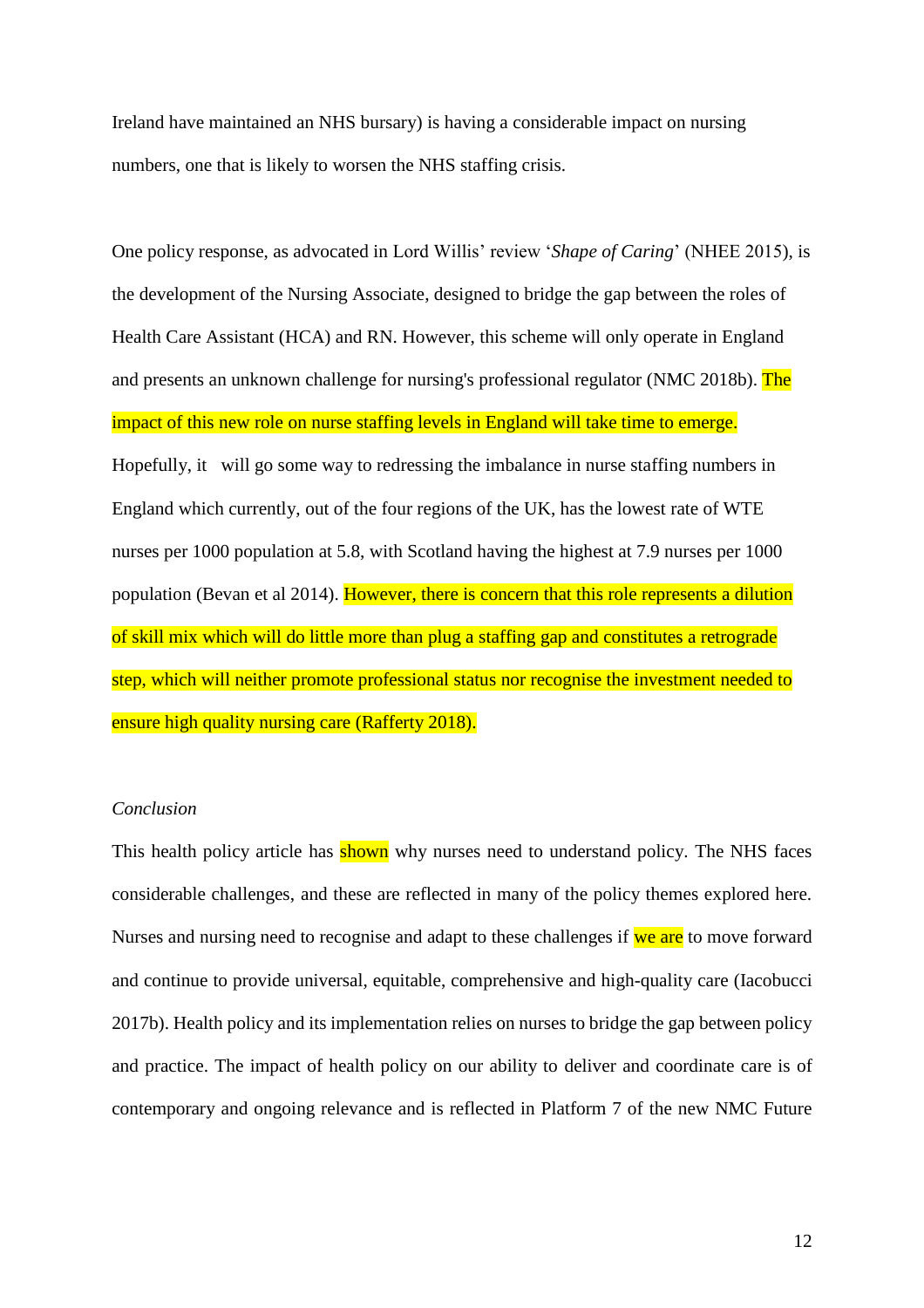Ireland have maintained an NHS bursary) is having a considerable impact on nursing numbers, one that is likely to worsen the NHS staffing crisis.

One policy response, as advocated in Lord Willis' review '*Shape of Caring*' (NHEE 2015), is the development of the Nursing Associate, designed to bridge the gap between the roles of Health Care Assistant (HCA) and RN. However, this scheme will only operate in England and presents an unknown challenge for nursing's professional regulator (NMC 2018b). The impact of this new role on nurse staffing levels in England will take time to emerge. Hopefully, it will go some way to redressing the imbalance in nurse staffing numbers in England which currently, out of the four regions of the UK, has the lowest rate of WTE nurses per 1000 population at 5.8, with Scotland having the highest at 7.9 nurses per 1000 population (Bevan et al 2014). However, there is concern that this role represents a dilution of skill mix which will do little more than plug a staffing gap and constitutes a retrograde step, which will neither promote professional status nor recognise the investment needed to ensure high quality nursing care (Rafferty 2018).

## *Conclusion*

This health policy article has shown why nurses need to understand policy. The NHS faces considerable challenges, and these are reflected in many of the policy themes explored here. Nurses and nursing need to recognise and adapt to these challenges if we are to move forward and continue to provide universal, equitable, comprehensive and high-quality care (Iacobucci 2017b). Health policy and its implementation relies on nurses to bridge the gap between policy and practice. The impact of health policy on our ability to deliver and coordinate care is of contemporary and ongoing relevance and is reflected in Platform 7 of the new NMC Future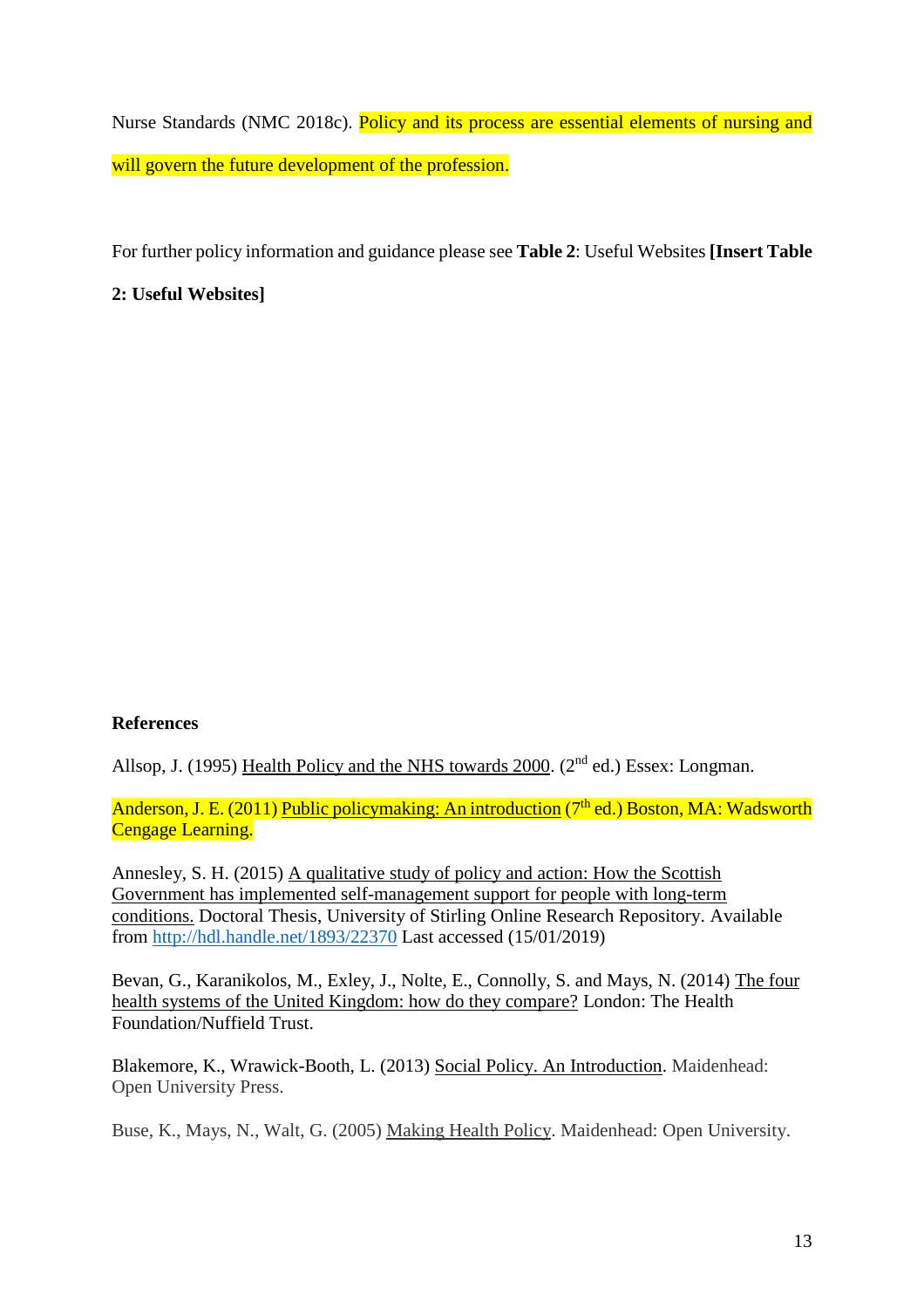Nurse Standards (NMC 2018c). Policy and its process are essential elements of nursing and will govern the future development of the profession.

For further policy information and guidance please see **Table 2**: Useful Websites **[Insert Table** 

**2: Useful Websites]**

## **References**

Allsop, J. (1995) Health Policy and the NHS towards 2000. (2<sup>nd</sup> ed.) Essex: Longman.

Anderson, J. E. (2011) Public policymaking: An introduction ( $7<sup>th</sup>$  ed.) Boston, MA: Wadsworth **Cengage Learning.** 

Annesley, S. H. (2015) A qualitative study of policy and action: How the Scottish Government has implemented self-management support for people with long-term conditions. Doctoral Thesis, University of Stirling Online Research Repository. Available from<http://hdl.handle.net/1893/22370> Last accessed (15/01/2019)

Bevan, G., Karanikolos, M., Exley, J., Nolte, E., Connolly, S. and Mays, N. (2014) The four health systems of the United Kingdom: how do they compare? London: The Health Foundation/Nuffield Trust.

Blakemore, K., Wrawick-Booth, L. (2013) Social Policy. An Introduction. Maidenhead: Open University Press.

Buse, K., Mays, N., Walt, G. (2005) Making Health Policy. Maidenhead: Open University.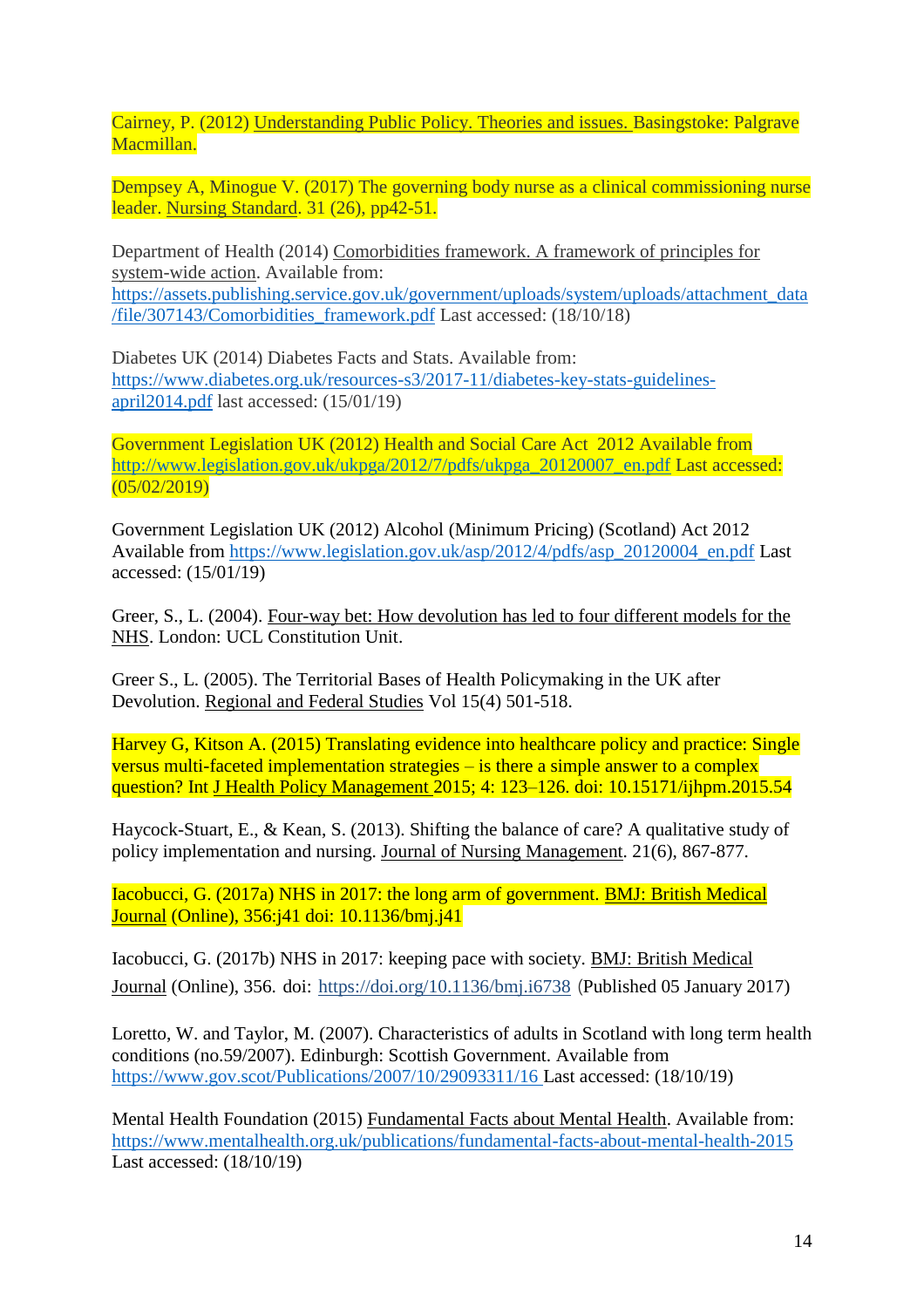Cairney, P. (2012) Understanding Public Policy. Theories and issues. Basingstoke: Palgrave Macmillan.

Dempsey A, Minogue V. (2017) The governing body nurse as a clinical commissioning nurse leader. Nursing Standard. 31 (26), pp42-51.

Department of Health (2014) Comorbidities framework. A framework of principles for system-wide action. Available from: [https://assets.publishing.service.gov.uk/government/uploads/system/uploads/attachment\\_data](https://assets.publishing.service.gov.uk/government/uploads/system/uploads/attachment_data/file/307143/Comorbidities_framework.pdf) [/file/307143/Comorbidities\\_framework.pdf](https://assets.publishing.service.gov.uk/government/uploads/system/uploads/attachment_data/file/307143/Comorbidities_framework.pdf) Last accessed: (18/10/18)

Diabetes UK (2014) Diabetes Facts and Stats. Available from: [https://www.diabetes.org.uk/resources-s3/2017-11/diabetes-key-stats-guidelines](https://www.diabetes.org.uk/resources-s3/2017-11/diabetes-key-stats-guidelines-april2014.pdf)[april2014.pdf](https://www.diabetes.org.uk/resources-s3/2017-11/diabetes-key-stats-guidelines-april2014.pdf) last accessed: (15/01/19)

Government Legislation UK (2012) Health and Social Care Act 2012 Available from [http://www.legislation.gov.uk/ukpga/2012/7/pdfs/ukpga\\_20120007\\_en.pdf](http://www.legislation.gov.uk/ukpga/2012/7/pdfs/ukpga_20120007_en.pdf) Last accessed:  $(05/02/2019)$ 

Government Legislation UK (2012) Alcohol (Minimum Pricing) (Scotland) Act 2012 Available from [https://www.legislation.gov.uk/asp/2012/4/pdfs/asp\\_20120004\\_en.pdf](https://www.legislation.gov.uk/asp/2012/4/pdfs/asp_20120004_en.pdf) Last accessed: (15/01/19)

Greer, S., L. (2004). Four-way bet: How devolution has led to four different models for the NHS. London: UCL Constitution Unit.

Greer S., L. (2005). The Territorial Bases of Health Policymaking in the UK after Devolution. Regional and Federal Studies Vol 15(4) 501-518.

Harvey G, Kitson A. (2015) Translating evidence into healthcare policy and practice: Single versus multi-faceted implementation strategies – is there a simple answer to a complex question? Int J Health Policy Management 2015; 4: 123–126. doi: 10.15171/ijhpm.2015.54

Haycock-Stuart, E., & Kean, S. (2013). Shifting the balance of care? A qualitative study of policy implementation and nursing. Journal of Nursing Management. 21(6), 867-877.

Iacobucci, G. (2017a) NHS in 2017: the long arm of government. BMJ: British Medical Journal (Online), 356:j41 doi: 10.1136/bmj.j41

Iacobucci, G. (2017b) NHS in 2017: keeping pace with society. BMJ: British Medical Journal (Online), 356. doi: <https://doi.org/10.1136/bmj.i6738> (Published 05 January 2017)

Loretto, W. and Taylor, M. (2007). Characteristics of adults in Scotland with long term health conditions (no.59/2007). Edinburgh: Scottish Government. Available from <https://www.gov.scot/Publications/2007/10/29093311/16> Last accessed: (18/10/19)

Mental Health Foundation (2015) Fundamental Facts about Mental Health. Available from: <https://www.mentalhealth.org.uk/publications/fundamental-facts-about-mental-health-2015> Last accessed: (18/10/19)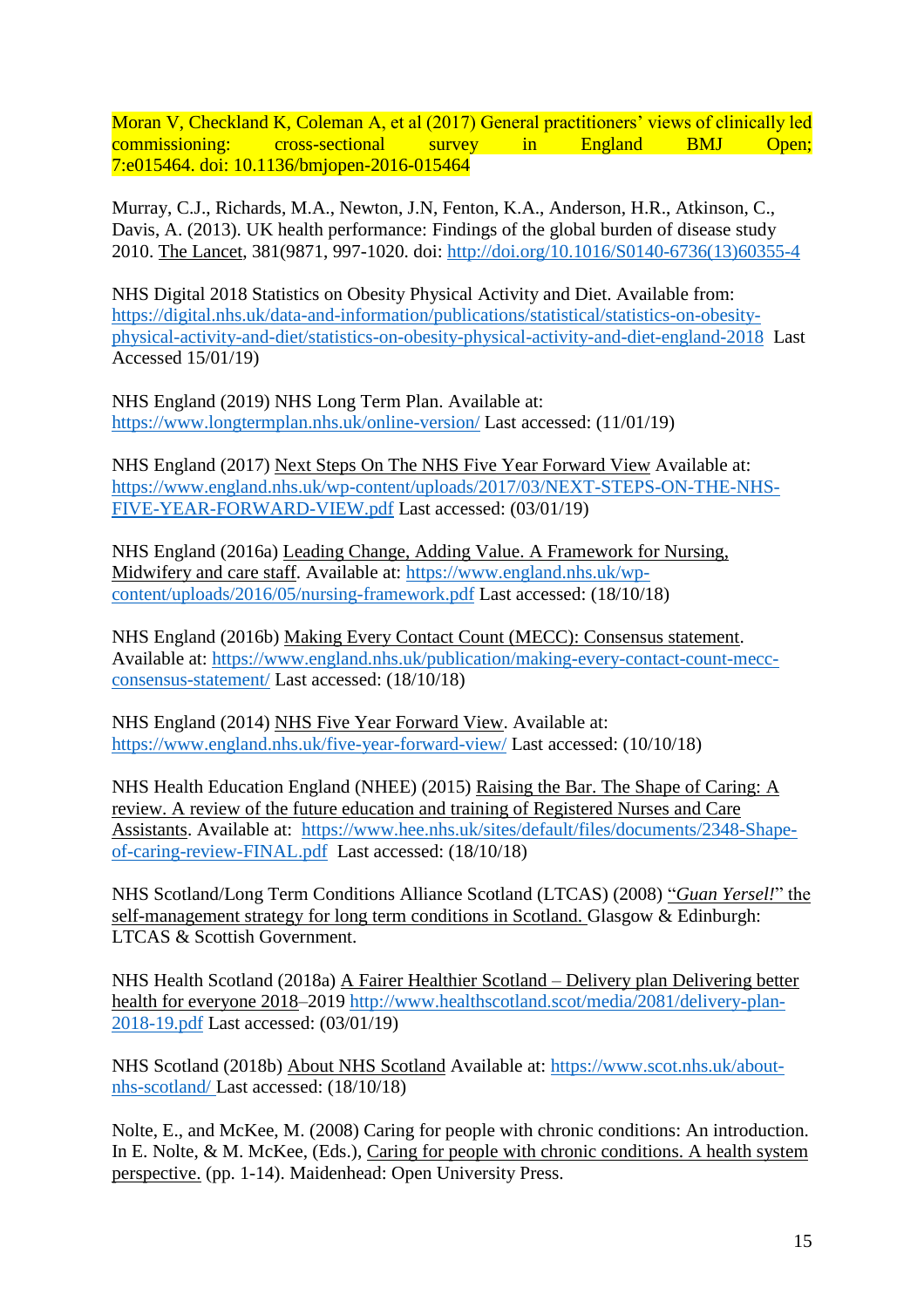Moran V, Checkland K, Coleman A, et al (2017) General practitioners' views of clinically led commissioning: cross-sectional survey in England BMJ Open; 7:e015464. doi: 10.1136/bmjopen-2016-015464

Murray, C.J., Richards, M.A., Newton, J.N, Fenton, K.A., Anderson, H.R., Atkinson, C., Davis, A. (2013). UK health performance: Findings of the global burden of disease study 2010. The Lancet, 381(9871, 997-1020. doi: [http://doi.org/10.1016/S0140-6736\(13\)60355-4](http://doi.org/10.1016/S0140-6736(13)60355-4)

NHS Digital 2018 Statistics on Obesity Physical Activity and Diet. Available from: [https://digital.nhs.uk/data-and-information/publications/statistical/statistics-on-obesity](https://digital.nhs.uk/data-and-information/publications/statistical/statistics-on-obesity-physical-activity-and-diet/statistics-on-obesity-physical-activity-and-diet-england-2018)[physical-activity-and-diet/statistics-on-obesity-physical-activity-and-diet-england-2018](https://digital.nhs.uk/data-and-information/publications/statistical/statistics-on-obesity-physical-activity-and-diet/statistics-on-obesity-physical-activity-and-diet-england-2018) Last Accessed 15/01/19)

NHS England (2019) NHS Long Term Plan. Available at: <https://www.longtermplan.nhs.uk/online-version/> Last accessed: (11/01/19)

NHS England (2017) Next Steps On The NHS Five Year Forward View Available at: [https://www.england.nhs.uk/wp-content/uploads/2017/03/NEXT-STEPS-ON-THE-NHS-](https://www.england.nhs.uk/wp-content/uploads/2017/03/NEXT-STEPS-ON-THE-NHS-FIVE-YEAR-FORWARD-VIEW.pdf)[FIVE-YEAR-FORWARD-VIEW.pdf](https://www.england.nhs.uk/wp-content/uploads/2017/03/NEXT-STEPS-ON-THE-NHS-FIVE-YEAR-FORWARD-VIEW.pdf) Last accessed: (03/01/19)

NHS England (2016a) Leading Change, Adding Value. A Framework for Nursing, Midwifery and care staff. Available at: [https://www.england.nhs.uk/wp](https://www.england.nhs.uk/wp-content/uploads/2016/05/nursing-framework.pdf)[content/uploads/2016/05/nursing-framework.pdf](https://www.england.nhs.uk/wp-content/uploads/2016/05/nursing-framework.pdf) Last accessed: (18/10/18)

NHS England (2016b) Making Every Contact Count (MECC): Consensus statement. Available at: [https://www.england.nhs.uk/publication/making-every-contact-count-mecc](https://www.england.nhs.uk/publication/making-every-contact-count-mecc-consensus-statement/)[consensus-statement/](https://www.england.nhs.uk/publication/making-every-contact-count-mecc-consensus-statement/) Last accessed: (18/10/18)

NHS England (2014) NHS Five Year Forward View. Available at: <https://www.england.nhs.uk/five-year-forward-view/> Last accessed: (10/10/18)

NHS Health Education England (NHEE) (2015) Raising the Bar. The Shape of Caring: A review. A review of the future education and training of Registered Nurses and Care Assistants. Available at: [https://www.hee.nhs.uk/sites/default/files/documents/2348-Shape](https://www.hee.nhs.uk/sites/default/files/documents/2348-Shape-of-caring-review-FINAL.pdf)[of-caring-review-FINAL.pdf](https://www.hee.nhs.uk/sites/default/files/documents/2348-Shape-of-caring-review-FINAL.pdf) Last accessed: (18/10/18)

NHS Scotland/Long Term Conditions Alliance Scotland (LTCAS) (2008) "*Guan Yersel!*" the self-management strategy for long term conditions in Scotland. Glasgow & Edinburgh: LTCAS & Scottish Government.

NHS Health Scotland (2018a) A Fairer Healthier Scotland – Delivery plan Delivering better health for everyone 2018–2019 [http://www.healthscotland.scot/media/2081/delivery-plan-](http://www.healthscotland.scot/media/2081/delivery-plan-2018-19.pdf)[2018-19.pdf](http://www.healthscotland.scot/media/2081/delivery-plan-2018-19.pdf) Last accessed: (03/01/19)

NHS Scotland (2018b) About NHS Scotland Available at: [https://www.scot.nhs.uk/about](https://www.scot.nhs.uk/about-nhs-scotland/)[nhs-scotland/](https://www.scot.nhs.uk/about-nhs-scotland/) Last accessed: (18/10/18)

Nolte, E., and McKee, M. (2008) Caring for people with chronic conditions: An introduction. In E. Nolte, & M. McKee, (Eds.), Caring for people with chronic conditions. A health system perspective. (pp. 1-14). Maidenhead: Open University Press.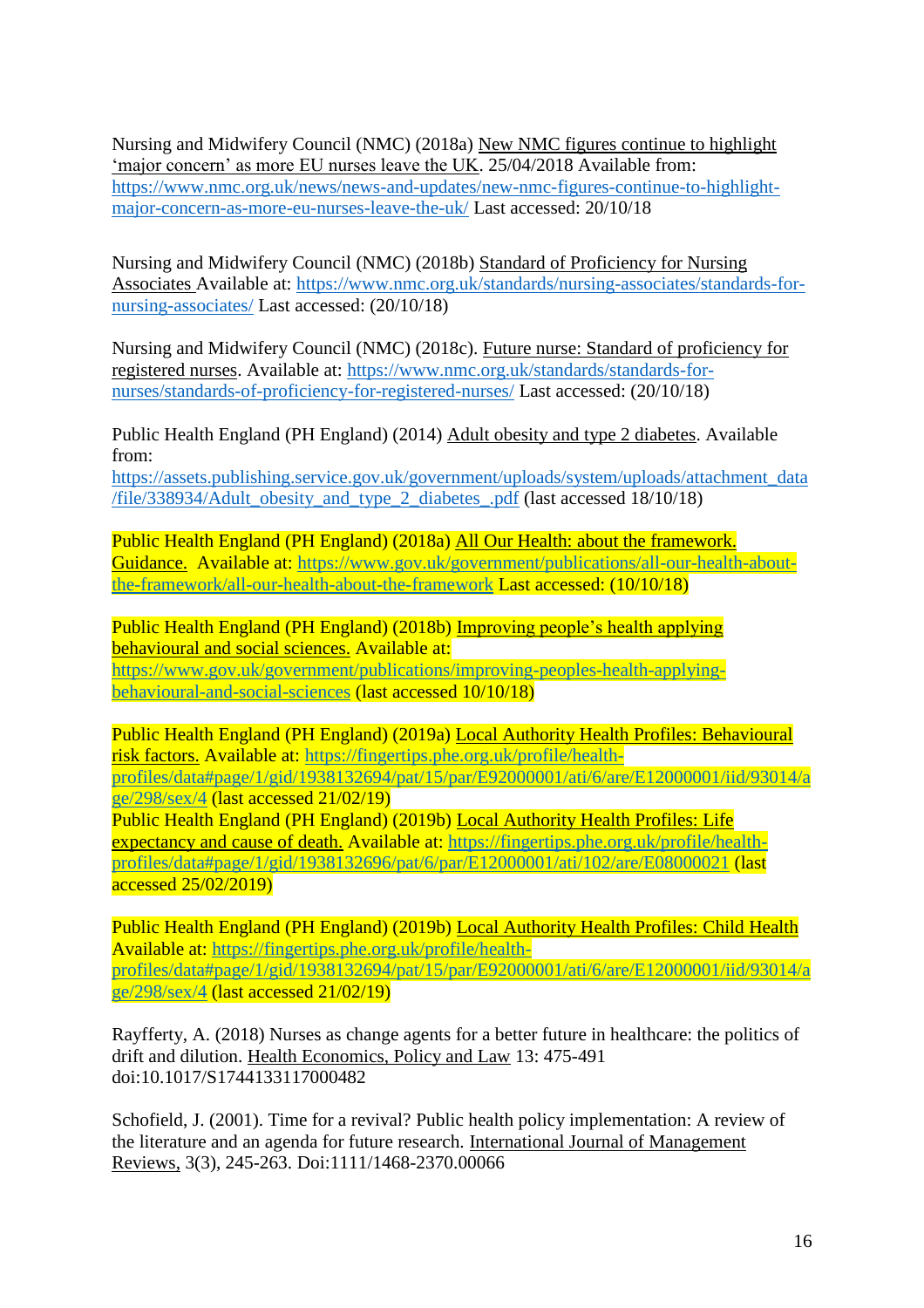Nursing and Midwifery Council (NMC) (2018a) New NMC figures continue to highlight 'major concern' as more EU nurses leave the UK. 25/04/2018 Available from: [https://www.nmc.org.uk/news/news-and-updates/new-nmc-figures-continue-to-highlight](https://www.nmc.org.uk/news/news-and-updates/new-nmc-figures-continue-to-highlight-major-concern-as-more-eu-nurses-leave-the-uk/)[major-concern-as-more-eu-nurses-leave-the-uk/](https://www.nmc.org.uk/news/news-and-updates/new-nmc-figures-continue-to-highlight-major-concern-as-more-eu-nurses-leave-the-uk/) Last accessed: 20/10/18

Nursing and Midwifery Council (NMC) (2018b) Standard of Proficiency for Nursing Associates Available at: [https://www.nmc.org.uk/standards/nursing-associates/standards-for](https://www.nmc.org.uk/standards/nursing-associates/standards-for-nursing-associates/)[nursing-associates/](https://www.nmc.org.uk/standards/nursing-associates/standards-for-nursing-associates/) Last accessed: (20/10/18)

Nursing and Midwifery Council (NMC) (2018c). Future nurse: Standard of proficiency for registered nurses. Available at: [https://www.nmc.org.uk/standards/standards-for](https://www.nmc.org.uk/standards/standards-for-nurses/standards-of-proficiency-for-registered-nurses/)[nurses/standards-of-proficiency-for-registered-nurses/](https://www.nmc.org.uk/standards/standards-for-nurses/standards-of-proficiency-for-registered-nurses/) Last accessed: (20/10/18)

Public Health England (PH England) (2014) Adult obesity and type 2 diabetes. Available from:

[https://assets.publishing.service.gov.uk/government/uploads/system/uploads/attachment\\_data](https://assets.publishing.service.gov.uk/government/uploads/system/uploads/attachment_data/file/338934/Adult_obesity_and_type_2_diabetes_.pdf) [/file/338934/Adult\\_obesity\\_and\\_type\\_2\\_diabetes\\_.pdf](https://assets.publishing.service.gov.uk/government/uploads/system/uploads/attachment_data/file/338934/Adult_obesity_and_type_2_diabetes_.pdf) (last accessed 18/10/18)

Public Health England (PH England) (2018a) All Our Health: about the framework. Guidance. Available at: [https://www.gov.uk/government/publications/all-our-health-about](https://www.gov.uk/government/publications/all-our-health-about-the-framework/all-our-health-about-the-framework)[the-framework/all-our-health-about-the-framework](https://www.gov.uk/government/publications/all-our-health-about-the-framework/all-our-health-about-the-framework) Last accessed: (10/10/18)

Public Health England (PH England) (2018b) Improving people's health applying behavioural and social sciences. Available at: [https://www.gov.uk/government/publications/improving-peoples-health-applying](https://www.gov.uk/government/publications/improving-peoples-health-applying-behavioural-and-social-sciences)[behavioural-and-social-sciences](https://www.gov.uk/government/publications/improving-peoples-health-applying-behavioural-and-social-sciences) (last accessed 10/10/18)

Public Health England (PH England) (2019a) Local Authority Health Profiles: Behavioural risk factors. Available at: [https://fingertips.phe.org.uk/profile/health](https://fingertips.phe.org.uk/profile/health-profiles/data#page/1/gid/1938132694/pat/15/par/E92000001/ati/6/are/E12000001/iid/93014/age/298/sex/4)[profiles/data#page/1/gid/1938132694/pat/15/par/E92000001/ati/6/are/E12000001/iid/93014/a](https://fingertips.phe.org.uk/profile/health-profiles/data#page/1/gid/1938132694/pat/15/par/E92000001/ati/6/are/E12000001/iid/93014/age/298/sex/4) [ge/298/sex/4](https://fingertips.phe.org.uk/profile/health-profiles/data#page/1/gid/1938132694/pat/15/par/E92000001/ati/6/are/E12000001/iid/93014/age/298/sex/4) (last accessed 21/02/19) Public Health England (PH England) (2019b) Local Authority Health Profiles: Life

expectancy and cause of death. Available at: [https://fingertips.phe.org.uk/profile/health](https://fingertips.phe.org.uk/profile/health-profiles/data#page/1/gid/1938132696/pat/6/par/E12000001/ati/102/are/E08000021)[profiles/data#page/1/gid/1938132696/pat/6/par/E12000001/ati/102/are/E08000021](https://fingertips.phe.org.uk/profile/health-profiles/data#page/1/gid/1938132696/pat/6/par/E12000001/ati/102/are/E08000021) (last accessed 25/02/2019)

Public Health England (PH England) (2019b) Local Authority Health Profiles: Child Health Available at: [https://fingertips.phe.org.uk/profile/health](https://fingertips.phe.org.uk/profile/health-profiles/data#page/1/gid/1938132694/pat/15/par/E92000001/ati/6/are/E12000001/iid/93014/age/298/sex/4)[profiles/data#page/1/gid/1938132694/pat/15/par/E92000001/ati/6/are/E12000001/iid/93014/a](https://fingertips.phe.org.uk/profile/health-profiles/data#page/1/gid/1938132694/pat/15/par/E92000001/ati/6/are/E12000001/iid/93014/age/298/sex/4) [ge/298/sex/4](https://fingertips.phe.org.uk/profile/health-profiles/data#page/1/gid/1938132694/pat/15/par/E92000001/ati/6/are/E12000001/iid/93014/age/298/sex/4) (last accessed 21/02/19)

Rayfferty, A. (2018) Nurses as change agents for a better future in healthcare: the politics of drift and dilution. Health Economics, Policy and Law 13: 475-491 doi:10.1017/S1744133117000482

Schofield, J. (2001). Time for a revival? Public health policy implementation: A review of the literature and an agenda for future research. International Journal of Management Reviews, 3(3), 245-263. Doi:1111/1468-2370.00066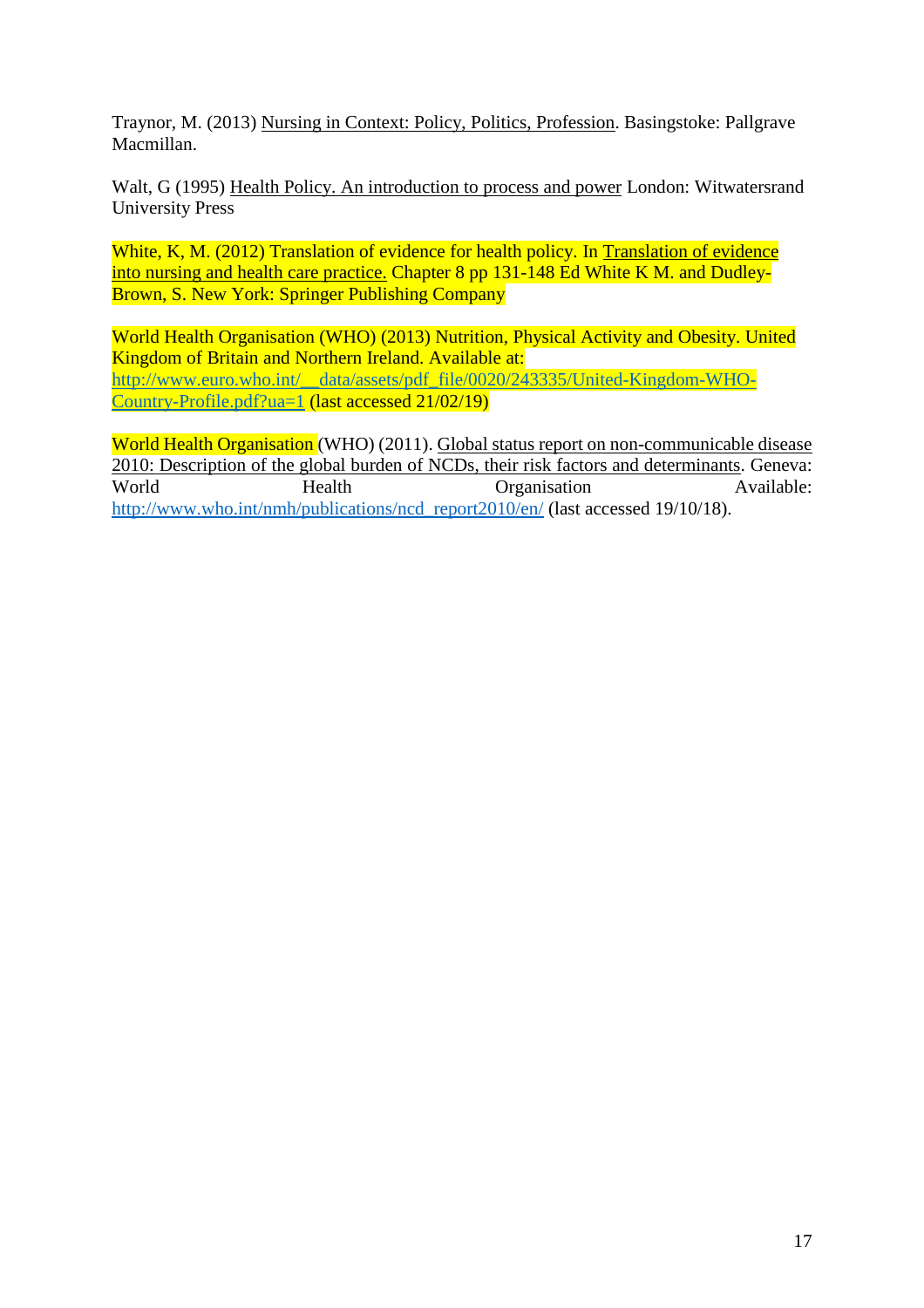Traynor, M. (2013) Nursing in Context: Policy, Politics, Profession. Basingstoke: Pallgrave Macmillan.

Walt, G (1995) Health Policy. An introduction to process and power London: Witwatersrand University Press

White, K, M. (2012) Translation of evidence for health policy. In Translation of evidence into nursing and health care practice. Chapter 8 pp 131-148 Ed White K M. and Dudley-Brown, S. New York: Springer Publishing Company

World Health Organisation (WHO) (2013) Nutrition, Physical Activity and Obesity. United Kingdom of Britain and Northern Ireland. Available at: [http://www.euro.who.int/\\_\\_data/assets/pdf\\_file/0020/243335/United-Kingdom-WHO-](http://www.euro.who.int/__data/assets/pdf_file/0020/243335/United-Kingdom-WHO-Country-Profile.pdf?ua=1)[Country-Profile.pdf?ua=1](http://www.euro.who.int/__data/assets/pdf_file/0020/243335/United-Kingdom-WHO-Country-Profile.pdf?ua=1) (last accessed 21/02/19)

World Health Organisation (WHO) (2011). Global status report on non-communicable disease 2010: Description of the global burden of NCDs, their risk factors and determinants. Geneva: World Health Organisation Available: [http://www.who.int/nmh/publications/ncd\\_report2010/en/](http://www.who.int/nmh/publications/ncd_report2010/en/) (last accessed 19/10/18).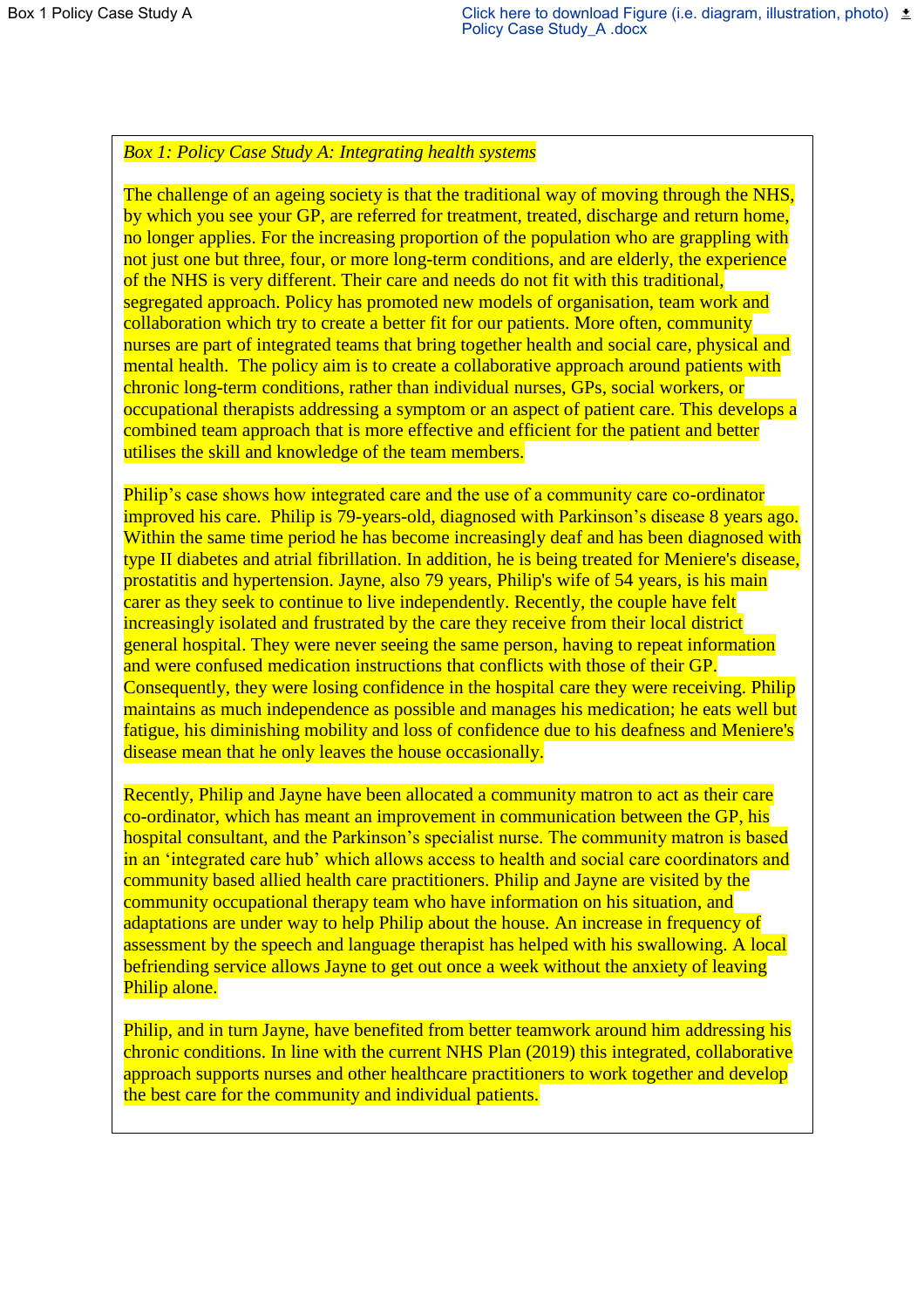# *Box 1: Policy Case Study A: Integrating health systems*

The challenge of an ageing society is that the traditional way of moving through the NHS, by which you see your GP, are referred for treatment, treated, discharge and return home, no longer applies. For the increasing proportion of the population who are grappling with not just one but three, four, or more long-term conditions, and are elderly, the experience of the NHS is very different. Their care and needs do not fit with this traditional, segregated approach. Policy has promoted new models of organisation, team work and collaboration which try to create a better fit for our patients. More often, community nurses are part of integrated teams that bring together health and social care, physical and mental health. The policy aim is to create a collaborative approach around patients with chronic long-term conditions, rather than individual nurses, GPs, social workers, or occupational therapists addressing a symptom or an aspect of patient care. This develops a combined team approach that is more effective and efficient for the patient and better utilises the skill and knowledge of the team members.

Philip's case shows how integrated care and the use of a community care co-ordinator improved his care. Philip is 79-years-old, diagnosed with Parkinson's disease 8 years ago. Within the same time period he has become increasingly deaf and has been diagnosed with type II diabetes and atrial fibrillation. In addition, he is being treated for Meniere's disease, prostatitis and hypertension. Jayne, also 79 years, Philip's wife of 54 years, is his main carer as they seek to continue to live independently. Recently, the couple have felt increasingly isolated and frustrated by the care they receive from their local district general hospital. They were never seeing the same person, having to repeat information and were confused medication instructions that conflicts with those of their GP. Consequently, they were losing confidence in the hospital care they were receiving. Philip maintains as much independence as possible and manages his medication; he eats well but fatigue, his diminishing mobility and loss of confidence due to his deafness and Meniere's disease mean that he only leaves the house occasionally.

Recently, Philip and Jayne have been allocated a community matron to act as their care co-ordinator, which has meant an improvement in communication between the GP, his hospital consultant, and the Parkinson's specialist nurse. The community matron is based in an 'integrated care hub' which allows access to health and social care coordinators and community based allied health care practitioners. Philip and Jayne are visited by the community occupational therapy team who have information on his situation, and adaptations are under way to help Philip about the house. An increase in frequency of assessment by the speech and language therapist has helped with his swallowing. A local befriending service allows Jayne to get out once a week without the anxiety of leaving Philip alone.

Philip, and in turn Jayne, have benefited from better teamwork around him addressing his chronic conditions. In line with the current NHS Plan (2019) this integrated, collaborative approach supports nurses and other healthcare practitioners to work together and develop the best care for the community and individual patients.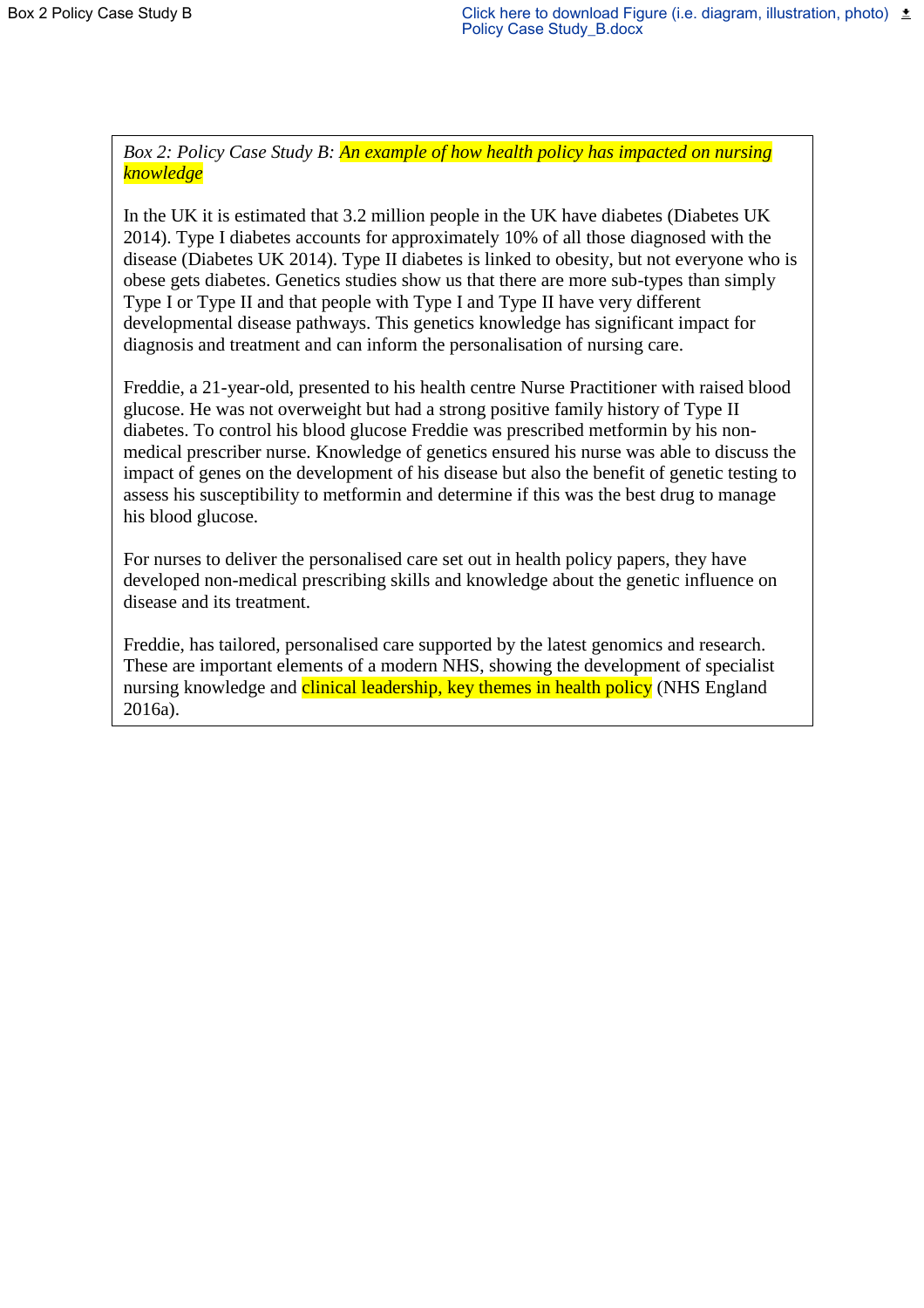*Box 2: Policy Case Study B: An example of how health policy has impacted on nursing knowledge* 

In the UK it is estimated that 3.2 million people in the UK have diabetes (Diabetes UK 2014). Type I diabetes accounts for approximately 10% of all those diagnosed with the disease (Diabetes UK 2014). Type II diabetes is linked to obesity, but not everyone who is obese gets diabetes. Genetics studies show us that there are more sub-types than simply Type I or Type II and that people with Type I and Type II have very different developmental disease pathways. This genetics knowledge has significant impact for diagnosis and treatment and can inform the personalisation of nursing care.

Freddie, a 21-year-old, presented to his health centre Nurse Practitioner with raised blood glucose. He was not overweight but had a strong positive family history of Type II diabetes. To control his blood glucose Freddie was prescribed metformin by his nonmedical prescriber nurse. Knowledge of genetics ensured his nurse was able to discuss the impact of genes on the development of his disease but also the benefit of genetic testing to assess his susceptibility to metformin and determine if this was the best drug to manage his blood glucose.

For nurses to deliver the personalised care set out in health policy papers, they have developed non-medical prescribing skills and knowledge about the genetic influence on disease and its treatment.

Freddie, has tailored, personalised care supported by the latest genomics and research. These are important elements of a modern NHS, showing the development of specialist nursing knowledge and clinical leadership, key themes in health policy (NHS England 2016a).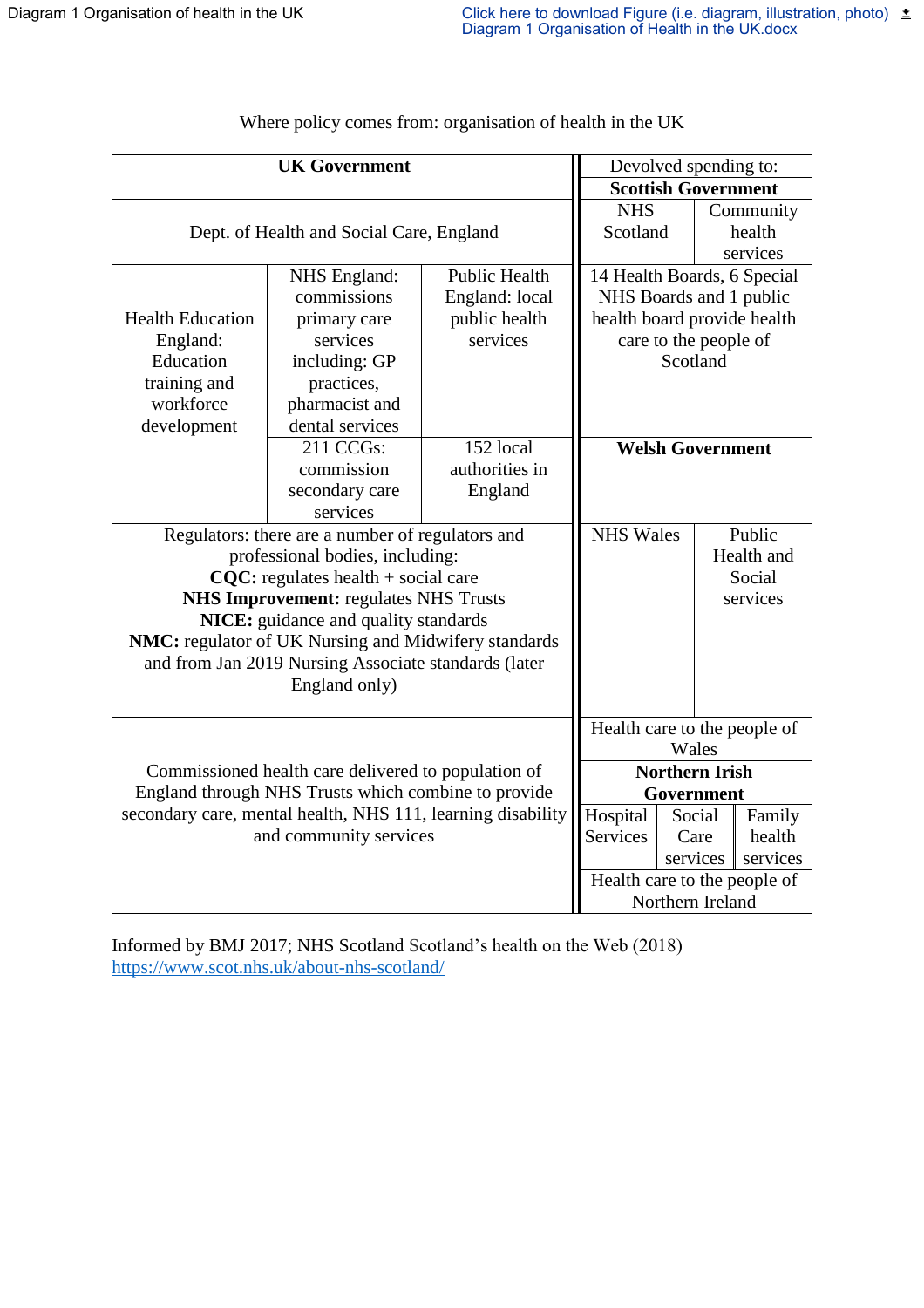| <b>UK Government</b>                                        |                                          |                            | Devolved spending to:        |                         |  |           |  |
|-------------------------------------------------------------|------------------------------------------|----------------------------|------------------------------|-------------------------|--|-----------|--|
|                                                             | <b>Scottish Government</b>               |                            |                              |                         |  |           |  |
|                                                             |                                          |                            | <b>NHS</b>                   |                         |  | Community |  |
|                                                             | Dept. of Health and Social Care, England |                            | Scotland                     |                         |  | health    |  |
|                                                             |                                          |                            |                              |                         |  | services  |  |
|                                                             | NHS England:                             | <b>Public Health</b>       | 14 Health Boards, 6 Special  |                         |  |           |  |
|                                                             | commissions<br>England: local            |                            | NHS Boards and 1 public      |                         |  |           |  |
| <b>Health Education</b>                                     | public health<br>primary care            |                            | health board provide health  |                         |  |           |  |
| England:                                                    | services                                 | services                   | care to the people of        |                         |  |           |  |
| Education                                                   | including: GP                            |                            |                              | Scotland                |  |           |  |
| training and                                                | practices,                               |                            |                              |                         |  |           |  |
| workforce                                                   | pharmacist and                           |                            |                              |                         |  |           |  |
| development                                                 | dental services                          |                            |                              |                         |  |           |  |
|                                                             | 211 CCGs:                                | 152 local                  |                              | <b>Welsh Government</b> |  |           |  |
|                                                             | commission                               | authorities in             |                              |                         |  |           |  |
|                                                             | secondary care                           | England                    |                              |                         |  |           |  |
|                                                             | services                                 |                            |                              |                         |  |           |  |
| Regulators: there are a number of regulators and            |                                          | <b>NHS Wales</b><br>Public |                              |                         |  |           |  |
|                                                             | professional bodies, including:          |                            | Health and                   |                         |  |           |  |
| $CQC$ : regulates health + social care                      |                                          |                            |                              | Social                  |  |           |  |
| <b>NHS Improvement: regulates NHS Trusts</b>                |                                          |                            |                              | services                |  |           |  |
|                                                             | NICE: guidance and quality standards     |                            |                              |                         |  |           |  |
| NMC: regulator of UK Nursing and Midwifery standards        |                                          |                            |                              |                         |  |           |  |
| and from Jan 2019 Nursing Associate standards (later        |                                          |                            |                              |                         |  |           |  |
|                                                             |                                          |                            |                              |                         |  |           |  |
|                                                             |                                          |                            |                              |                         |  |           |  |
|                                                             |                                          |                            | Health care to the people of |                         |  |           |  |
|                                                             | Wales                                    |                            |                              |                         |  |           |  |
| Commissioned health care delivered to population of         | <b>Northern Irish</b>                    |                            |                              |                         |  |           |  |
| England through NHS Trusts which combine to provide         |                                          |                            |                              | Government              |  |           |  |
| secondary care, mental health, NHS 111, learning disability | Hospital                                 | Social                     |                              | Family                  |  |           |  |
| and community services                                      | Services                                 | Care                       |                              | health                  |  |           |  |
|                                                             |                                          | services                   |                              | services                |  |           |  |
|                                                             | Health care to the people of             |                            |                              |                         |  |           |  |
|                                                             |                                          | Northern Ireland           |                              |                         |  |           |  |
|                                                             |                                          |                            |                              |                         |  |           |  |

Where policy comes from: organisation of health in the UK

Informed by BMJ 2017; NHS Scotland Scotland's health on the Web (2018) <https://www.scot.nhs.uk/about-nhs-scotland/>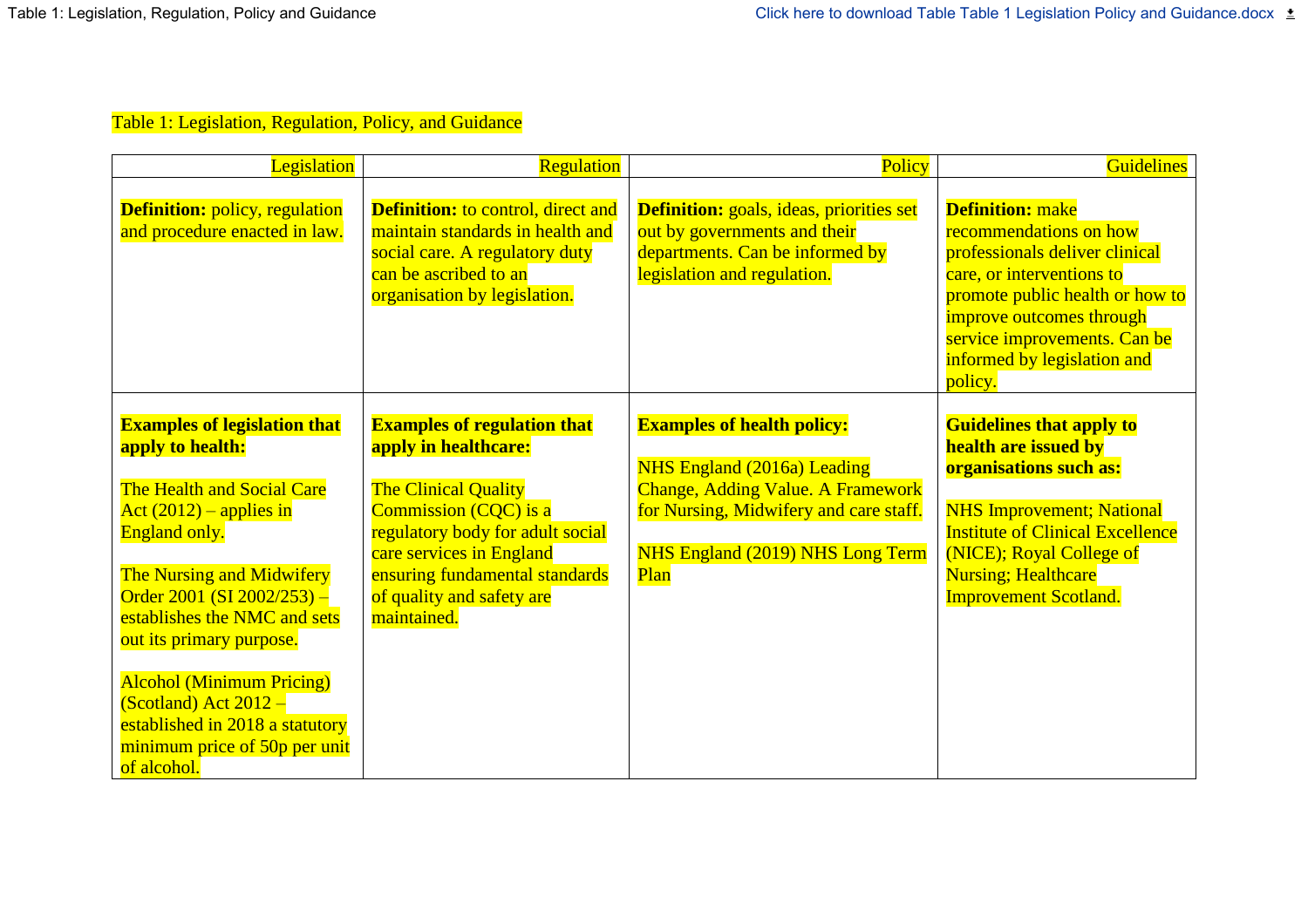# Table 1: Legislation, Regulation, Policy, and Guidance

| Legislation                                                                                                                                                                                                                                                                                                                                                                                                         | Regulation                                                                                                                                                                                                                                                | Policy                                                                                                                                                                                                    | <b>Guidelines</b>                                                                                                                                                                                                                                           |
|---------------------------------------------------------------------------------------------------------------------------------------------------------------------------------------------------------------------------------------------------------------------------------------------------------------------------------------------------------------------------------------------------------------------|-----------------------------------------------------------------------------------------------------------------------------------------------------------------------------------------------------------------------------------------------------------|-----------------------------------------------------------------------------------------------------------------------------------------------------------------------------------------------------------|-------------------------------------------------------------------------------------------------------------------------------------------------------------------------------------------------------------------------------------------------------------|
| <b>Definition:</b> policy, regulation<br>and procedure enacted in law.                                                                                                                                                                                                                                                                                                                                              | <b>Definition:</b> to control, direct and<br>maintain standards in health and<br>social care. A regulatory duty<br>can be ascribed to an<br>organisation by legislation.                                                                                  | <b>Definition:</b> goals, ideas, priorities set<br>out by governments and their<br>departments. Can be informed by<br>legislation and regulation.                                                         | <b>Definition:</b> make<br>recommendations on how<br>professionals deliver clinical<br>care, or interventions to<br>promote public health or how to<br>improve outcomes through<br>service improvements. Can be<br>informed by legislation and<br>policy.   |
| <b>Examples of legislation that</b><br>apply to health:<br>The Health and Social Care<br>Act $(2012)$ – applies in<br><b>England only.</b><br>The Nursing and Midwifery<br>Order 2001 (SI 2002/253) -<br>establishes the NMC and sets<br>out its primary purpose.<br><b>Alcohol (Minimum Pricing)</b><br>$(Scotland)$ Act 2012 -<br>established in 2018 a statutory<br>minimum price of 50p per unit<br>of alcohol. | <b>Examples of regulation that</b><br>apply in healthcare:<br>The Clinical Quality<br>Commission (CQC) is a<br>regulatory body for adult social<br>care services in England<br>ensuring fundamental standards<br>of quality and safety are<br>maintained. | <b>Examples of health policy:</b><br><b>NHS England (2016a) Leading</b><br><b>Change, Adding Value. A Framework</b><br>for Nursing, Midwifery and care staff.<br>NHS England (2019) NHS Long Term<br>Plan | <b>Guidelines that apply to</b><br>health are issued by<br>organisations such as:<br><b>NHS Improvement; National</b><br><b>Institute of Clinical Excellence</b><br>(NICE); Royal College of<br><b>Nursing</b> ; Healthcare<br><b>Improvement Scotland.</b> |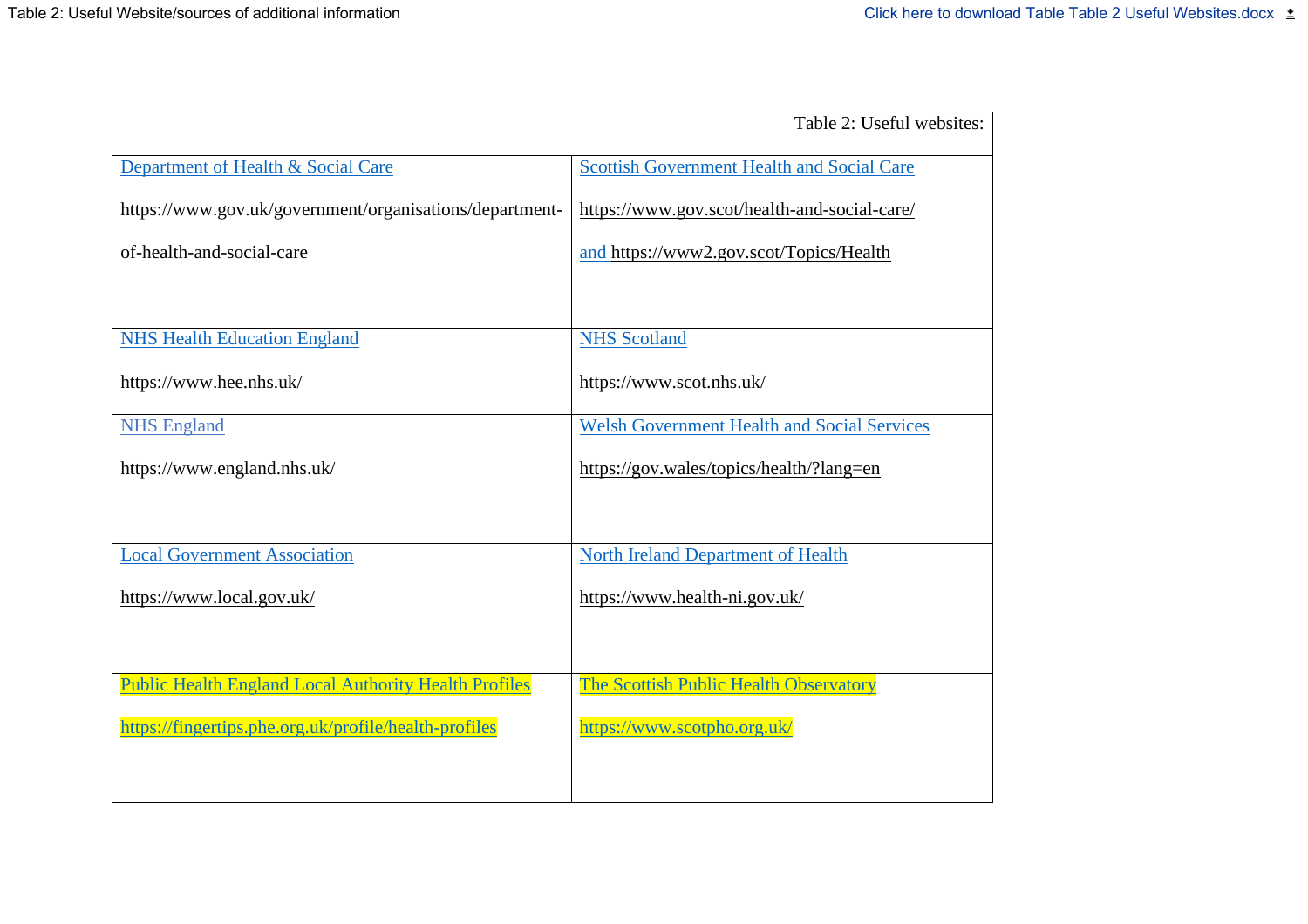|                                                              | Table 2: Useful websites:                          |
|--------------------------------------------------------------|----------------------------------------------------|
| Department of Health & Social Care                           | <b>Scottish Government Health and Social Care</b>  |
| https://www.gov.uk/government/organisations/department-      | https://www.gov.scot/health-and-social-care/       |
| of-health-and-social-care                                    | and https://www2.gov.scot/Topics/Health            |
|                                                              |                                                    |
| <b>NHS Health Education England</b>                          | <b>NHS</b> Scotland                                |
| https://www.hee.nhs.uk/                                      | https://www.scot.nhs.uk/                           |
| <b>NHS England</b>                                           | <b>Welsh Government Health and Social Services</b> |
| https://www.england.nhs.uk/                                  | https://gov.wales/topics/health/?lang=en           |
|                                                              |                                                    |
| <b>Local Government Association</b>                          | <b>North Ireland Department of Health</b>          |
| https://www.local.gov.uk/                                    | https://www.health-ni.gov.uk/                      |
|                                                              |                                                    |
| <b>Public Health England Local Authority Health Profiles</b> | The Scottish Public Health Observatory             |
| https://fingertips.phe.org.uk/profile/health-profiles        | https://www.scotpho.org.uk/                        |
|                                                              |                                                    |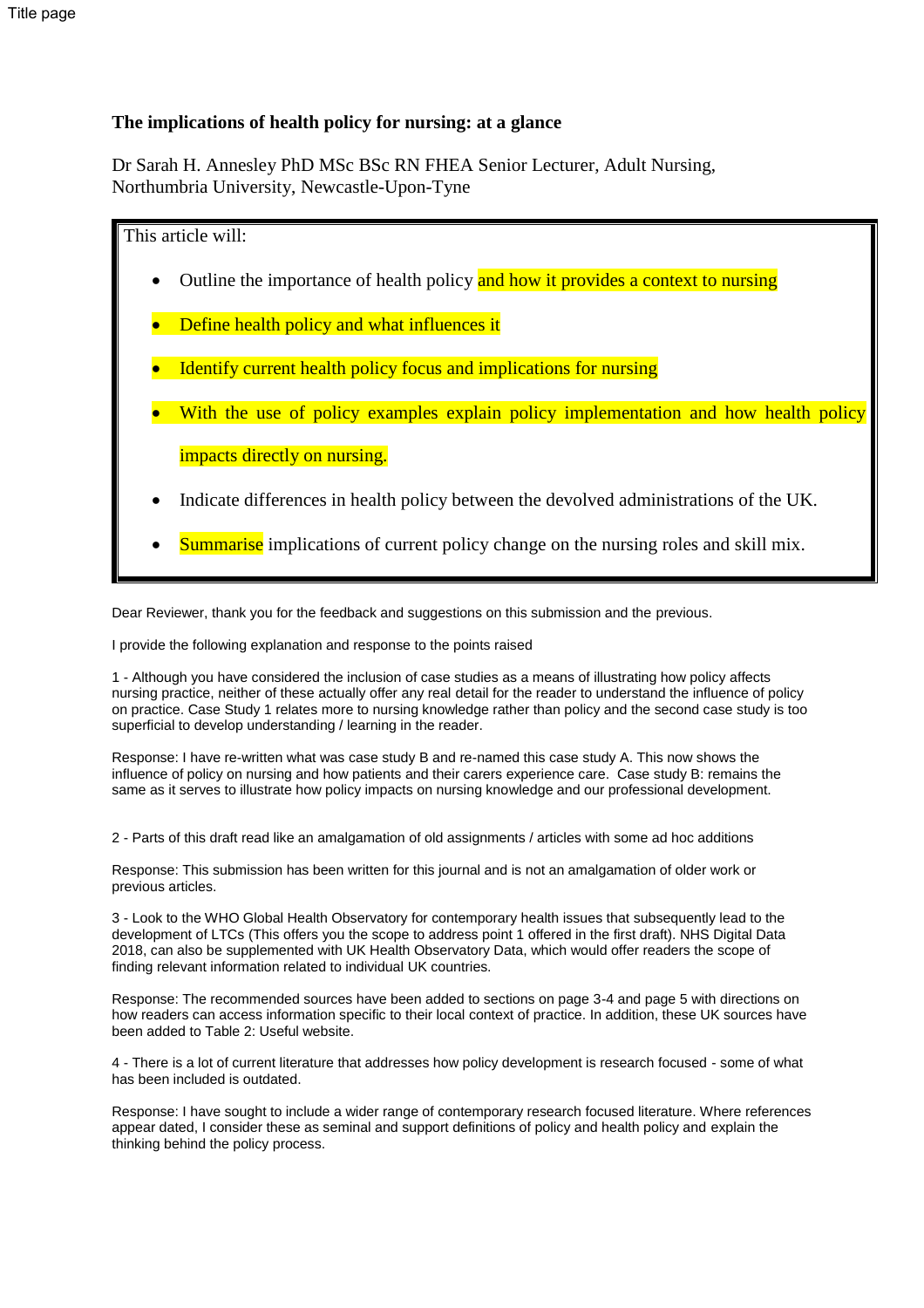#### **The implications of health policy for nursing: at a glance**

Dr Sarah H. Annesley PhD MSc BSc RN FHEA Senior Lecturer, Adult Nursing, Northumbria University, Newcastle-Upon-Tyne

### This article will:

- Outline the importance of health policy and how it provides a context to nursing
- Define health policy and what influences it
- Identify current health policy focus and implications for nursing
- With the use of policy examples explain policy implementation and how health policy impacts directly on nursing.
- Indicate differences in health policy between the devolved administrations of the UK.
- Summarise implications of current policy change on the nursing roles and skill mix.

Dear Reviewer, thank you for the feedback and suggestions on this submission and the previous.

I provide the following explanation and response to the points raised

1 - Although you have considered the inclusion of case studies as a means of illustrating how policy affects nursing practice, neither of these actually offer any real detail for the reader to understand the influence of policy on practice. Case Study 1 relates more to nursing knowledge rather than policy and the second case study is too superficial to develop understanding / learning in the reader.

Response: I have re-written what was case study B and re-named this case study A. This now shows the influence of policy on nursing and how patients and their carers experience care. Case study B: remains the same as it serves to illustrate how policy impacts on nursing knowledge and our professional development.

2 - Parts of this draft read like an amalgamation of old assignments / articles with some ad hoc additions

Response: This submission has been written for this journal and is not an amalgamation of older work or previous articles.

3 - Look to the WHO Global Health Observatory for contemporary health issues that subsequently lead to the development of LTCs (This offers you the scope to address point 1 offered in the first draft). NHS Digital Data 2018, can also be supplemented with UK Health Observatory Data, which would offer readers the scope of finding relevant information related to individual UK countries.

Response: The recommended sources have been added to sections on page 3-4 and page 5 with directions on how readers can access information specific to their local context of practice. In addition, these UK sources have been added to Table 2: Useful website.

4 - There is a lot of current literature that addresses how policy development is research focused - some of what has been included is outdated.

Response: I have sought to include a wider range of contemporary research focused literature. Where references appear dated, I consider these as seminal and support definitions of policy and health policy and explain the thinking behind the policy process.